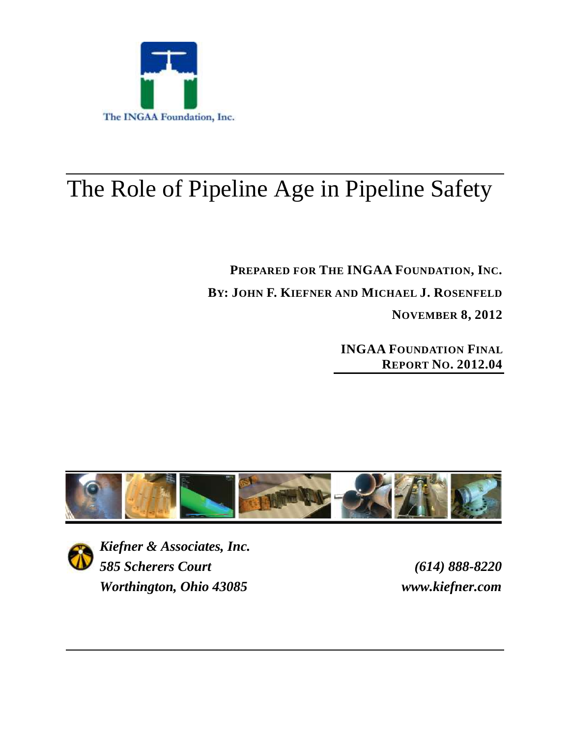

# The Role of Pipeline Age in Pipeline Safety

**PREPARED FOR THE INGAA FOUNDATION, INC. BY: JOHN F. KIEFNER AND MICHAEL J. ROSENFELD NOVEMBER 8, 2012**

> **INGAA FOUNDATION FINAL REPORT NO. 2012.04**





*Kiefner & Associates, Inc. 585 Scherers Court (614) 888-8220 Worthington, Ohio 43085 www.kiefner.com*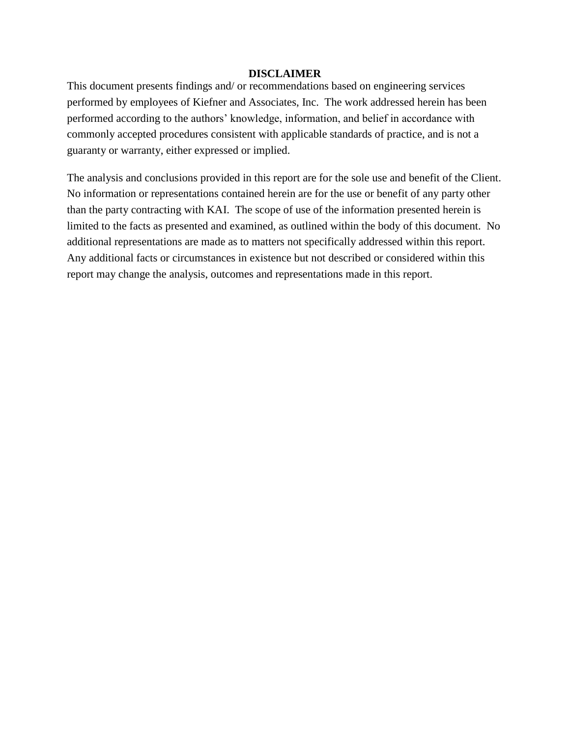#### **DISCLAIMER**

This document presents findings and/ or recommendations based on engineering services performed by employees of Kiefner and Associates, Inc. The work addressed herein has been performed according to the authors' knowledge, information, and belief in accordance with commonly accepted procedures consistent with applicable standards of practice, and is not a guaranty or warranty, either expressed or implied.

The analysis and conclusions provided in this report are for the sole use and benefit of the Client. No information or representations contained herein are for the use or benefit of any party other than the party contracting with KAI. The scope of use of the information presented herein is limited to the facts as presented and examined, as outlined within the body of this document. No additional representations are made as to matters not specifically addressed within this report. Any additional facts or circumstances in existence but not described or considered within this report may change the analysis, outcomes and representations made in this report.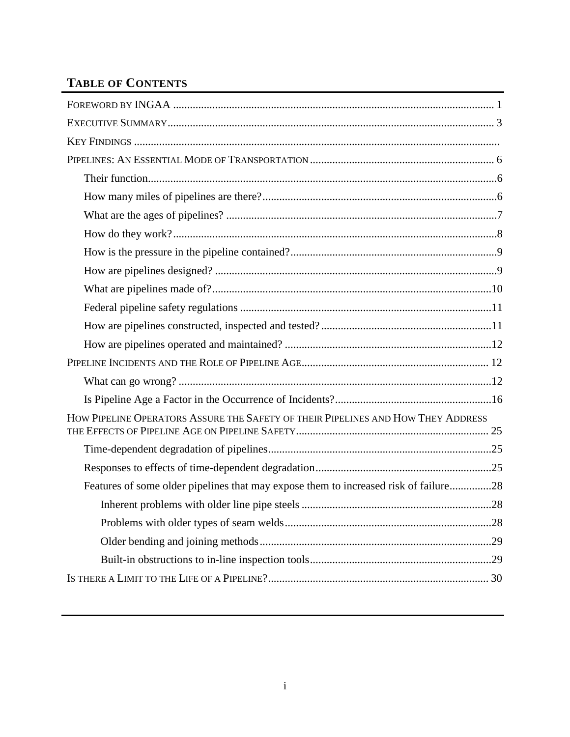## **TABLE OF CONTENTS**

| HOW PIPELINE OPERATORS ASSURE THE SAFETY OF THEIR PIPELINES AND HOW THEY ADDRESS     |
|--------------------------------------------------------------------------------------|
|                                                                                      |
|                                                                                      |
| Features of some older pipelines that may expose them to increased risk of failure28 |
|                                                                                      |
|                                                                                      |
|                                                                                      |
|                                                                                      |
|                                                                                      |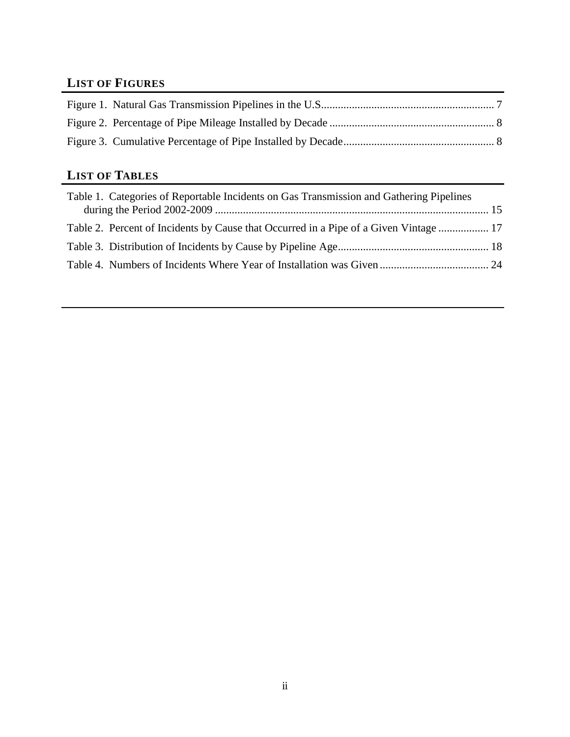## **LIST OF FIGURES**

## **LIST OF TABLES**

| Table 1. Categories of Reportable Incidents on Gas Transmission and Gathering Pipelines |  |
|-----------------------------------------------------------------------------------------|--|
| Table 2. Percent of Incidents by Cause that Occurred in a Pipe of a Given Vintage  17   |  |
|                                                                                         |  |
|                                                                                         |  |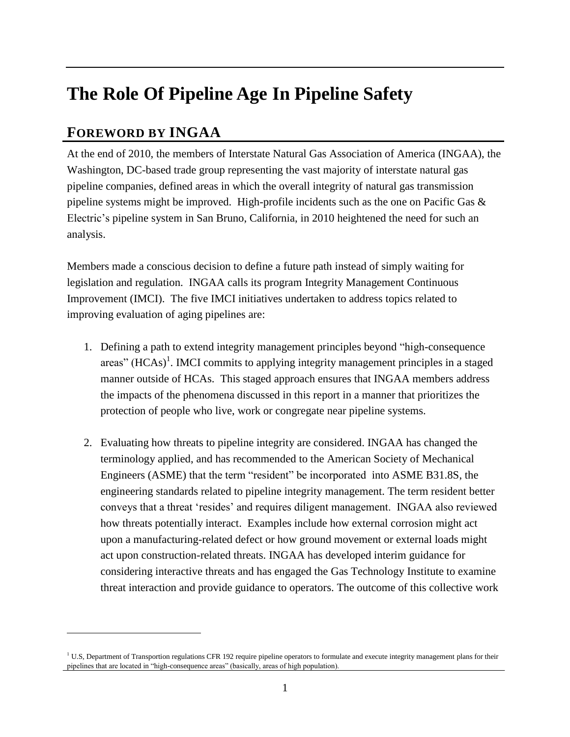## **The Role Of Pipeline Age In Pipeline Safety**

## <span id="page-4-0"></span>**FOREWORD BY INGAA**

 $\overline{a}$ 

At the end of 2010, the members of Interstate Natural Gas Association of America (INGAA), the Washington, DC-based trade group representing the vast majority of interstate natural gas pipeline companies, defined areas in which the overall integrity of natural gas transmission pipeline systems might be improved. High-profile incidents such as the one on Pacific Gas & Electric's pipeline system in San Bruno, California, in 2010 heightened the need for such an analysis.

Members made a conscious decision to define a future path instead of simply waiting for legislation and regulation. INGAA calls its program Integrity Management Continuous Improvement (IMCI). The five IMCI initiatives undertaken to address topics related to improving evaluation of aging pipelines are:

- 1. Defining a path to extend integrity management principles beyond "high-consequence areas" (HCAs)<sup>1</sup>. IMCI commits to applying integrity management principles in a staged manner outside of HCAs. This staged approach ensures that INGAA members address the impacts of the phenomena discussed in this report in a manner that prioritizes the protection of people who live, work or congregate near pipeline systems.
- 2. Evaluating how threats to pipeline integrity are considered. INGAA has changed the terminology applied, and has recommended to the American Society of Mechanical Engineers (ASME) that the term "resident" be incorporated into ASME B31.8S, the engineering standards related to pipeline integrity management. The term resident better conveys that a threat 'resides' and requires diligent management. INGAA also reviewed how threats potentially interact. Examples include how external corrosion might act upon a manufacturing-related defect or how ground movement or external loads might act upon construction-related threats. INGAA has developed interim guidance for considering interactive threats and has engaged the Gas Technology Institute to examine threat interaction and provide guidance to operators. The outcome of this collective work

 $1 U.S.$  Department of Transportion regulations CFR 192 require pipeline operators to formulate and execute integrity management plans for their pipelines that are located in "high-consequence areas" (basically, areas of high population).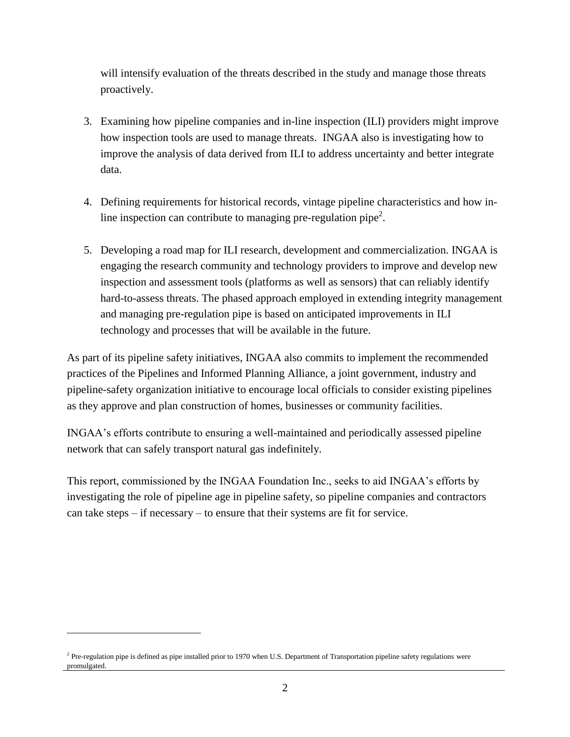will intensify evaluation of the threats described in the study and manage those threats proactively.

- 3. Examining how pipeline companies and in-line inspection (ILI) providers might improve how inspection tools are used to manage threats. INGAA also is investigating how to improve the analysis of data derived from ILI to address uncertainty and better integrate data.
- 4. Defining requirements for historical records, vintage pipeline characteristics and how inline inspection can contribute to managing pre-regulation pipe<sup>2</sup>.
- 5. Developing a road map for ILI research, development and commercialization. INGAA is engaging the research community and technology providers to improve and develop new inspection and assessment tools (platforms as well as sensors) that can reliably identify hard-to-assess threats. The phased approach employed in extending integrity management and managing pre-regulation pipe is based on anticipated improvements in ILI technology and processes that will be available in the future.

As part of its pipeline safety initiatives, INGAA also commits to implement the recommended practices of the Pipelines and Informed Planning Alliance, a joint government, industry and pipeline-safety organization initiative to encourage local officials to consider existing pipelines as they approve and plan construction of homes, businesses or community facilities.

INGAA's efforts contribute to ensuring a well-maintained and periodically assessed pipeline network that can safely transport natural gas indefinitely.

This report, commissioned by the INGAA Foundation Inc., seeks to aid INGAA's efforts by investigating the role of pipeline age in pipeline safety, so pipeline companies and contractors can take steps – if necessary – to ensure that their systems are fit for service.

 $\overline{a}$ 

<sup>&</sup>lt;sup>2</sup> Pre-regulation pipe is defined as pipe installed prior to 1970 when U.S. Department of Transportation pipeline safety regulations were promulgated.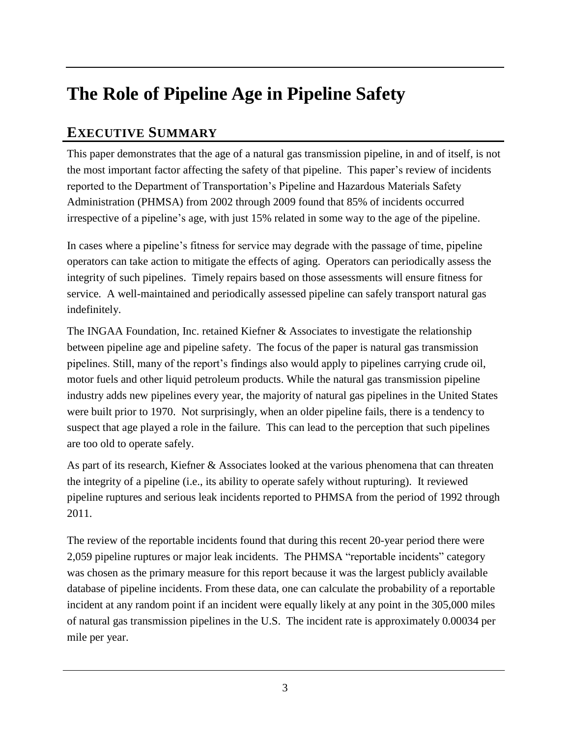## **The Role of Pipeline Age in Pipeline Safety**

## <span id="page-6-0"></span>**EXECUTIVE SUMMARY**

This paper demonstrates that the age of a natural gas transmission pipeline, in and of itself, is not the most important factor affecting the safety of that pipeline. This paper's review of incidents reported to the Department of Transportation's Pipeline and Hazardous Materials Safety Administration (PHMSA) from 2002 through 2009 found that 85% of incidents occurred irrespective of a pipeline's age, with just 15% related in some way to the age of the pipeline.

In cases where a pipeline's fitness for service may degrade with the passage of time, pipeline operators can take action to mitigate the effects of aging. Operators can periodically assess the integrity of such pipelines. Timely repairs based on those assessments will ensure fitness for service. A well-maintained and periodically assessed pipeline can safely transport natural gas indefinitely.

The INGAA Foundation, Inc. retained Kiefner & Associates to investigate the relationship between pipeline age and pipeline safety. The focus of the paper is natural gas transmission pipelines. Still, many of the report's findings also would apply to pipelines carrying crude oil, motor fuels and other liquid petroleum products. While the natural gas transmission pipeline industry adds new pipelines every year, the majority of natural gas pipelines in the United States were built prior to 1970. Not surprisingly, when an older pipeline fails, there is a tendency to suspect that age played a role in the failure. This can lead to the perception that such pipelines are too old to operate safely.

As part of its research, Kiefner & Associates looked at the various phenomena that can threaten the integrity of a pipeline (i.e., its ability to operate safely without rupturing). It reviewed pipeline ruptures and serious leak incidents reported to PHMSA from the period of 1992 through 2011.

The review of the reportable incidents found that during this recent 20-year period there were 2,059 pipeline ruptures or major leak incidents. The PHMSA "reportable incidents" category was chosen as the primary measure for this report because it was the largest publicly available database of pipeline incidents. From these data, one can calculate the probability of a reportable incident at any random point if an incident were equally likely at any point in the 305,000 miles of natural gas transmission pipelines in the U.S. The incident rate is approximately 0.00034 per mile per year.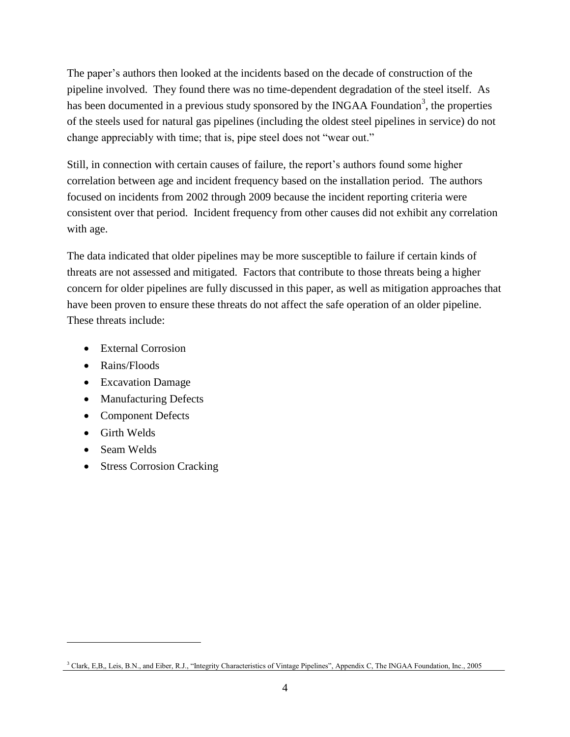The paper's authors then looked at the incidents based on the decade of construction of the pipeline involved. They found there was no time-dependent degradation of the steel itself. As has been documented in a previous study sponsored by the INGAA Foundation<sup>3</sup>, the properties of the steels used for natural gas pipelines (including the oldest steel pipelines in service) do not change appreciably with time; that is, pipe steel does not "wear out."

Still, in connection with certain causes of failure, the report's authors found some higher correlation between age and incident frequency based on the installation period. The authors focused on incidents from 2002 through 2009 because the incident reporting criteria were consistent over that period. Incident frequency from other causes did not exhibit any correlation with age.

The data indicated that older pipelines may be more susceptible to failure if certain kinds of threats are not assessed and mitigated. Factors that contribute to those threats being a higher concern for older pipelines are fully discussed in this paper, as well as mitigation approaches that have been proven to ensure these threats do not affect the safe operation of an older pipeline. These threats include:

- External Corrosion
- Rains/Floods
- Excavation Damage
- Manufacturing Defects
- Component Defects
- **•** Girth Welds
- Seam Welds

 $\overline{a}$ 

• Stress Corrosion Cracking

<sup>3</sup> Clark, E,B,, Leis, B.N., and Eiber, R.J., "Integrity Characteristics of Vintage Pipelines", Appendix C, The INGAA Foundation, Inc., 2005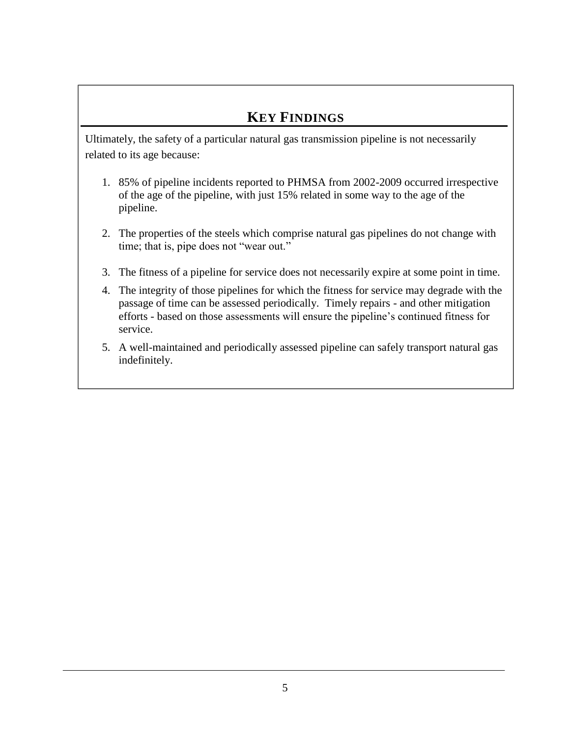## **KEY FINDINGS**

Ultimately, the safety of a particular natural gas transmission pipeline is not necessarily related to its age because:

- 1. 85% of pipeline incidents reported to PHMSA from 2002-2009 occurred irrespective of the age of the pipeline, with just 15% related in some way to the age of the pipeline.
- 2. The properties of the steels which comprise natural gas pipelines do not change with time; that is, pipe does not "wear out."
- 3. The fitness of a pipeline for service does not necessarily expire at some point in time.
- 4. The integrity of those pipelines for which the fitness for service may degrade with the passage of time can be assessed periodically. Timely repairs - and other mitigation efforts - based on those assessments will ensure the pipeline's continued fitness for service.
- 5. A well-maintained and periodically assessed pipeline can safely transport natural gas indefinitely.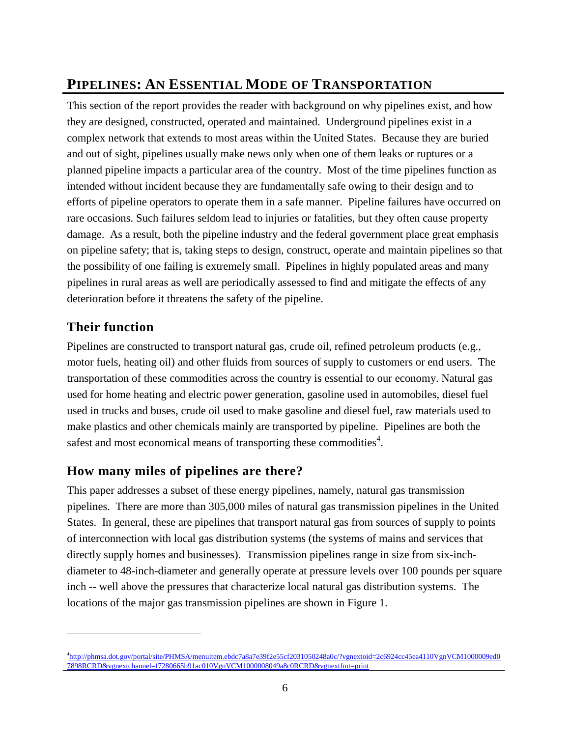## <span id="page-9-0"></span>**PIPELINES: AN ESSENTIAL MODE OF TRANSPORTATION**

This section of the report provides the reader with background on why pipelines exist, and how they are designed, constructed, operated and maintained. Underground pipelines exist in a complex network that extends to most areas within the United States. Because they are buried and out of sight, pipelines usually make news only when one of them leaks or ruptures or a planned pipeline impacts a particular area of the country. Most of the time pipelines function as intended without incident because they are fundamentally safe owing to their design and to efforts of pipeline operators to operate them in a safe manner. Pipeline failures have occurred on rare occasions. Such failures seldom lead to injuries or fatalities, but they often cause property damage. As a result, both the pipeline industry and the federal government place great emphasis on pipeline safety; that is, taking steps to design, construct, operate and maintain pipelines so that the possibility of one failing is extremely small. Pipelines in highly populated areas and many pipelines in rural areas as well are periodically assessed to find and mitigate the effects of any deterioration before it threatens the safety of the pipeline.

### <span id="page-9-1"></span>**Their function**

 $\overline{a}$ 

Pipelines are constructed to transport natural gas, crude oil, refined petroleum products (e.g., motor fuels, heating oil) and other fluids from sources of supply to customers or end users. The transportation of these commodities across the country is essential to our economy. Natural gas used for home heating and electric power generation, gasoline used in automobiles, diesel fuel used in trucks and buses, crude oil used to make gasoline and diesel fuel, raw materials used to make plastics and other chemicals mainly are transported by pipeline. Pipelines are both the safest and most economical means of transporting these commodities<sup>4</sup>.

#### <span id="page-9-2"></span>**How many miles of pipelines are there?**

This paper addresses a subset of these energy pipelines, namely, natural gas transmission pipelines. There are more than 305,000 miles of natural gas transmission pipelines in the United States. In general, these are pipelines that transport natural gas from sources of supply to points of interconnection with local gas distribution systems (the systems of mains and services that directly supply homes and businesses). Transmission pipelines range in size from six-inchdiameter to 48-inch-diameter and generally operate at pressure levels over 100 pounds per square inch -- well above the pressures that characterize local natural gas distribution systems. The locations of the major gas transmission pipelines are shown in Figure 1.

<sup>4</sup> [http://phmsa.dot.gov/portal/site/PHMSA/menuitem.ebdc7a8a7e39f2e55cf2031050248a0c/?vgnextoid=2c6924cc45ea4110VgnVCM1000009ed0](http://phmsa.dot.gov/portal/site/PHMSA/menuitem.ebdc7a8a7e39f2e55cf2031050248a0c/?vgnextoid=2c6924cc45ea4110VgnVCM1000009ed07898RCRD&vgnextchannel=f7280665b91ac010VgnVCM1000008049a8c0RCRD&vgnextfmt=print) [7898RCRD&vgnextchannel=f7280665b91ac010VgnVCM1000008049a8c0RCRD&vgnextfmt=print](http://phmsa.dot.gov/portal/site/PHMSA/menuitem.ebdc7a8a7e39f2e55cf2031050248a0c/?vgnextoid=2c6924cc45ea4110VgnVCM1000009ed07898RCRD&vgnextchannel=f7280665b91ac010VgnVCM1000008049a8c0RCRD&vgnextfmt=print)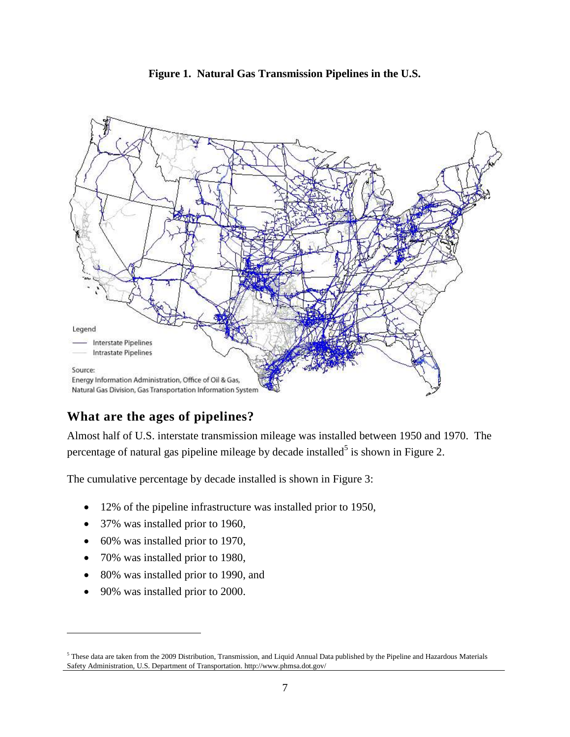

<span id="page-10-1"></span>

## <span id="page-10-0"></span>**What are the ages of pipelines?**

Almost half of U.S. interstate transmission mileage was installed between 1950 and 1970. The percentage of natural gas pipeline mileage by decade installed<sup>5</sup> is shown in Figure 2.

The cumulative percentage by decade installed is shown in Figure 3:

- 12% of the pipeline infrastructure was installed prior to 1950,
- 37% was installed prior to 1960,
- 60% was installed prior to 1970,
- 70% was installed prior to 1980,
- 80% was installed prior to 1990, and
- 90% was installed prior to 2000.

 $\overline{a}$ 

<sup>5</sup> These data are taken from the 2009 Distribution, Transmission, and Liquid Annual Data published by the Pipeline and Hazardous Materials Safety Administration, U.S. Department of Transportation. http://www.phmsa.dot.gov/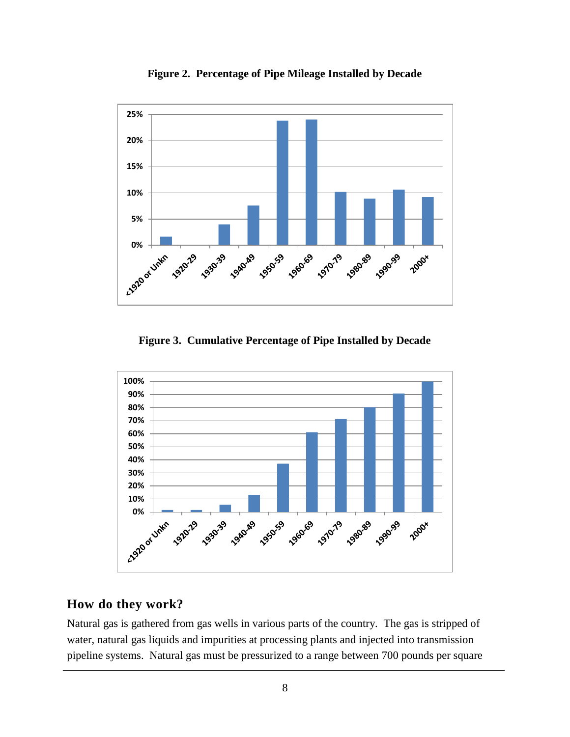<span id="page-11-1"></span>

**Figure 2. Percentage of Pipe Mileage Installed by Decade**

**Figure 3. Cumulative Percentage of Pipe Installed by Decade**

<span id="page-11-2"></span>

#### <span id="page-11-0"></span>**How do they work?**

Natural gas is gathered from gas wells in various parts of the country. The gas is stripped of water, natural gas liquids and impurities at processing plants and injected into transmission pipeline systems. Natural gas must be pressurized to a range between 700 pounds per square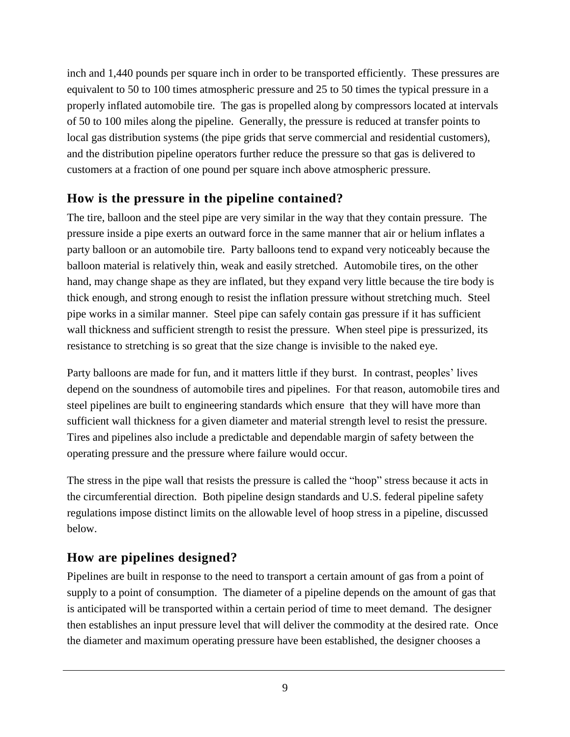inch and 1,440 pounds per square inch in order to be transported efficiently. These pressures are equivalent to 50 to 100 times atmospheric pressure and 25 to 50 times the typical pressure in a properly inflated automobile tire. The gas is propelled along by compressors located at intervals of 50 to 100 miles along the pipeline. Generally, the pressure is reduced at transfer points to local gas distribution systems (the pipe grids that serve commercial and residential customers), and the distribution pipeline operators further reduce the pressure so that gas is delivered to customers at a fraction of one pound per square inch above atmospheric pressure.

#### <span id="page-12-0"></span>**How is the pressure in the pipeline contained?**

The tire, balloon and the steel pipe are very similar in the way that they contain pressure. The pressure inside a pipe exerts an outward force in the same manner that air or helium inflates a party balloon or an automobile tire. Party balloons tend to expand very noticeably because the balloon material is relatively thin, weak and easily stretched. Automobile tires, on the other hand, may change shape as they are inflated, but they expand very little because the tire body is thick enough, and strong enough to resist the inflation pressure without stretching much. Steel pipe works in a similar manner. Steel pipe can safely contain gas pressure if it has sufficient wall thickness and sufficient strength to resist the pressure. When steel pipe is pressurized, its resistance to stretching is so great that the size change is invisible to the naked eye.

Party balloons are made for fun, and it matters little if they burst. In contrast, peoples' lives depend on the soundness of automobile tires and pipelines. For that reason, automobile tires and steel pipelines are built to engineering standards which ensure that they will have more than sufficient wall thickness for a given diameter and material strength level to resist the pressure. Tires and pipelines also include a predictable and dependable margin of safety between the operating pressure and the pressure where failure would occur.

The stress in the pipe wall that resists the pressure is called the "hoop" stress because it acts in the circumferential direction. Both pipeline design standards and U.S. federal pipeline safety regulations impose distinct limits on the allowable level of hoop stress in a pipeline, discussed below.

## <span id="page-12-1"></span>**How are pipelines designed?**

Pipelines are built in response to the need to transport a certain amount of gas from a point of supply to a point of consumption. The diameter of a pipeline depends on the amount of gas that is anticipated will be transported within a certain period of time to meet demand. The designer then establishes an input pressure level that will deliver the commodity at the desired rate. Once the diameter and maximum operating pressure have been established, the designer chooses a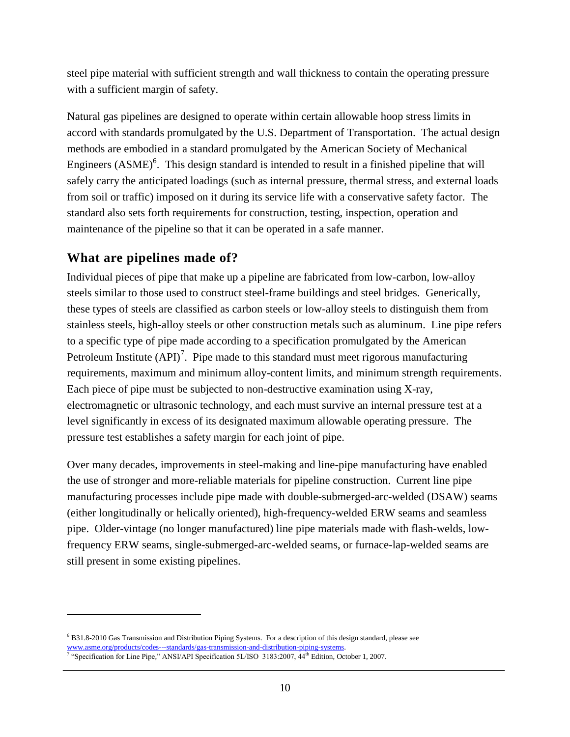steel pipe material with sufficient strength and wall thickness to contain the operating pressure with a sufficient margin of safety.

Natural gas pipelines are designed to operate within certain allowable hoop stress limits in accord with standards promulgated by the U.S. Department of Transportation. The actual design methods are embodied in a standard promulgated by the American Society of Mechanical Engineers  $(ASME)^6$ . This design standard is intended to result in a finished pipeline that will safely carry the anticipated loadings (such as internal pressure, thermal stress, and external loads from soil or traffic) imposed on it during its service life with a conservative safety factor. The standard also sets forth requirements for construction, testing, inspection, operation and maintenance of the pipeline so that it can be operated in a safe manner.

## <span id="page-13-0"></span>**What are pipelines made of?**

 $\overline{a}$ 

Individual pieces of pipe that make up a pipeline are fabricated from low-carbon, low-alloy steels similar to those used to construct steel-frame buildings and steel bridges. Generically, these types of steels are classified as carbon steels or low-alloy steels to distinguish them from stainless steels, high-alloy steels or other construction metals such as aluminum. Line pipe refers to a specific type of pipe made according to a specification promulgated by the American Petroleum Institute  $(API)^7$ . Pipe made to this standard must meet rigorous manufacturing requirements, maximum and minimum alloy-content limits, and minimum strength requirements. Each piece of pipe must be subjected to non-destructive examination using X-ray, electromagnetic or ultrasonic technology, and each must survive an internal pressure test at a level significantly in excess of its designated maximum allowable operating pressure. The pressure test establishes a safety margin for each joint of pipe.

Over many decades, improvements in steel-making and line-pipe manufacturing have enabled the use of stronger and more-reliable materials for pipeline construction. Current line pipe manufacturing processes include pipe made with double-submerged-arc-welded (DSAW) seams (either longitudinally or helically oriented), high-frequency-welded ERW seams and seamless pipe. Older-vintage (no longer manufactured) line pipe materials made with flash-welds, lowfrequency ERW seams, single-submerged-arc-welded seams, or furnace-lap-welded seams are still present in some existing pipelines.

<sup>6</sup> B31.8-2010 Gas Transmission and Distribution Piping Systems. For a description of this design standard, please see [www.asme.org/products/codes---standards/gas-transmission-and-distribution-piping-systems.](http://www.asme.org/products/codes---standards/gas-transmission-and-distribution-piping-systems)

<sup>&</sup>lt;sup>7</sup> "Specification for Line Pipe," ANSI/API Specification 5L/ISO 3183:2007, 44<sup>th</sup> Edition, October 1, 2007.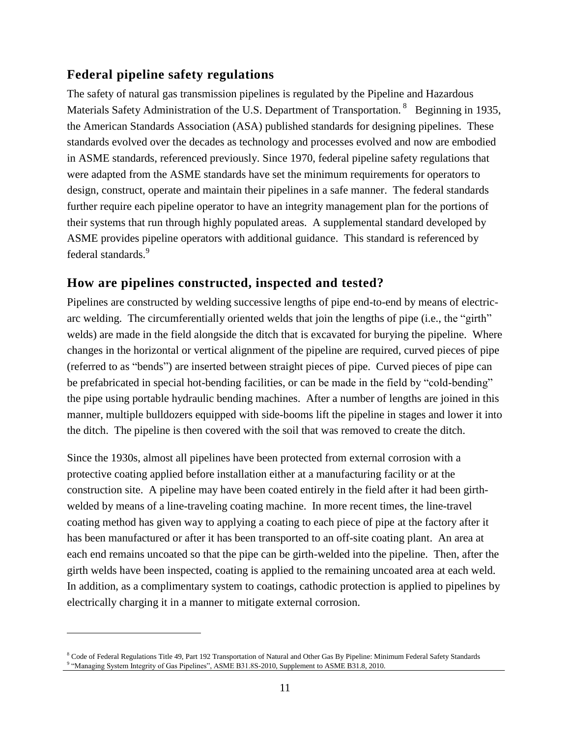#### <span id="page-14-0"></span>**Federal pipeline safety regulations**

The safety of natural gas transmission pipelines is regulated by the Pipeline and Hazardous Materials Safety Administration of the U.S. Department of Transportation. <sup>8</sup> Beginning in 1935, the American Standards Association (ASA) published standards for designing pipelines. These standards evolved over the decades as technology and processes evolved and now are embodied in ASME standards, referenced previously. Since 1970, federal pipeline safety regulations that were adapted from the ASME standards have set the minimum requirements for operators to design, construct, operate and maintain their pipelines in a safe manner. The federal standards further require each pipeline operator to have an integrity management plan for the portions of their systems that run through highly populated areas. A supplemental standard developed by ASME provides pipeline operators with additional guidance. This standard is referenced by federal standards.<sup>9</sup>

#### <span id="page-14-1"></span>**How are pipelines constructed, inspected and tested?**

Pipelines are constructed by welding successive lengths of pipe end-to-end by means of electricarc welding. The circumferentially oriented welds that join the lengths of pipe (i.e., the "girth" welds) are made in the field alongside the ditch that is excavated for burying the pipeline. Where changes in the horizontal or vertical alignment of the pipeline are required, curved pieces of pipe (referred to as "bends") are inserted between straight pieces of pipe. Curved pieces of pipe can be prefabricated in special hot-bending facilities, or can be made in the field by "cold-bending" the pipe using portable hydraulic bending machines. After a number of lengths are joined in this manner, multiple bulldozers equipped with side-booms lift the pipeline in stages and lower it into the ditch. The pipeline is then covered with the soil that was removed to create the ditch.

Since the 1930s, almost all pipelines have been protected from external corrosion with a protective coating applied before installation either at a manufacturing facility or at the construction site. A pipeline may have been coated entirely in the field after it had been girthwelded by means of a line-traveling coating machine. In more recent times, the line-travel coating method has given way to applying a coating to each piece of pipe at the factory after it has been manufactured or after it has been transported to an off-site coating plant. An area at each end remains uncoated so that the pipe can be girth-welded into the pipeline. Then, after the girth welds have been inspected, coating is applied to the remaining uncoated area at each weld. In addition, as a complimentary system to coatings, cathodic protection is applied to pipelines by electrically charging it in a manner to mitigate external corrosion.

 $\overline{a}$ 

<sup>8</sup> Code of Federal Regulations Title 49, Part 192 Transportation of Natural and Other Gas By Pipeline: Minimum Federal Safety Standards 9 "Managing System Integrity of Gas Pipelines", ASME B31.8S-2010, Supplement to ASME B31.8, 2010.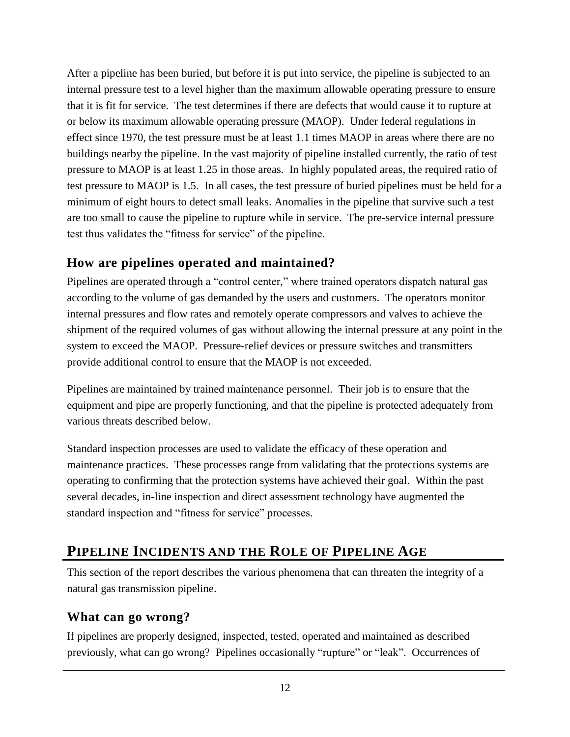After a pipeline has been buried, but before it is put into service, the pipeline is subjected to an internal pressure test to a level higher than the maximum allowable operating pressure to ensure that it is fit for service. The test determines if there are defects that would cause it to rupture at or below its maximum allowable operating pressure (MAOP). Under federal regulations in effect since 1970, the test pressure must be at least 1.1 times MAOP in areas where there are no buildings nearby the pipeline. In the vast majority of pipeline installed currently, the ratio of test pressure to MAOP is at least 1.25 in those areas. In highly populated areas, the required ratio of test pressure to MAOP is 1.5. In all cases, the test pressure of buried pipelines must be held for a minimum of eight hours to detect small leaks. Anomalies in the pipeline that survive such a test are too small to cause the pipeline to rupture while in service. The pre-service internal pressure test thus validates the "fitness for service" of the pipeline.

## <span id="page-15-0"></span>**How are pipelines operated and maintained?**

Pipelines are operated through a "control center," where trained operators dispatch natural gas according to the volume of gas demanded by the users and customers. The operators monitor internal pressures and flow rates and remotely operate compressors and valves to achieve the shipment of the required volumes of gas without allowing the internal pressure at any point in the system to exceed the MAOP. Pressure-relief devices or pressure switches and transmitters provide additional control to ensure that the MAOP is not exceeded.

Pipelines are maintained by trained maintenance personnel. Their job is to ensure that the equipment and pipe are properly functioning, and that the pipeline is protected adequately from various threats described below.

Standard inspection processes are used to validate the efficacy of these operation and maintenance practices. These processes range from validating that the protections systems are operating to confirming that the protection systems have achieved their goal. Within the past several decades, in-line inspection and direct assessment technology have augmented the standard inspection and "fitness for service" processes.

## <span id="page-15-1"></span>**PIPELINE INCIDENTS AND THE ROLE OF PIPELINE AGE**

This section of the report describes the various phenomena that can threaten the integrity of a natural gas transmission pipeline.

#### <span id="page-15-2"></span>**What can go wrong?**

If pipelines are properly designed, inspected, tested, operated and maintained as described previously, what can go wrong? Pipelines occasionally "rupture" or "leak". Occurrences of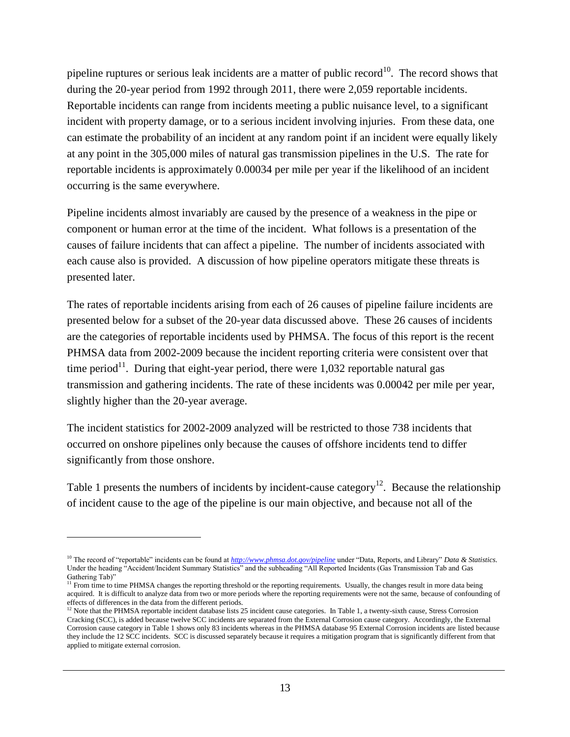pipeline ruptures or serious leak incidents are a matter of public record<sup>10</sup>. The record shows that during the 20-year period from 1992 through 2011, there were 2,059 reportable incidents. Reportable incidents can range from incidents meeting a public nuisance level, to a significant incident with property damage, or to a serious incident involving injuries. From these data, one can estimate the probability of an incident at any random point if an incident were equally likely at any point in the 305,000 miles of natural gas transmission pipelines in the U.S. The rate for reportable incidents is approximately 0.00034 per mile per year if the likelihood of an incident occurring is the same everywhere.

Pipeline incidents almost invariably are caused by the presence of a weakness in the pipe or component or human error at the time of the incident. What follows is a presentation of the causes of failure incidents that can affect a pipeline. The number of incidents associated with each cause also is provided. A discussion of how pipeline operators mitigate these threats is presented later.

The rates of reportable incidents arising from each of 26 causes of pipeline failure incidents are presented below for a subset of the 20-year data discussed above. These 26 causes of incidents are the categories of reportable incidents used by PHMSA. The focus of this report is the recent PHMSA data from 2002-2009 because the incident reporting criteria were consistent over that time period<sup>11</sup>. During that eight-year period, there were 1,032 reportable natural gas transmission and gathering incidents. The rate of these incidents was 0.00042 per mile per year, slightly higher than the 20-year average.

The incident statistics for 2002-2009 analyzed will be restricted to those 738 incidents that occurred on onshore pipelines only because the causes of offshore incidents tend to differ significantly from those onshore.

 $\overline{a}$ 

Table 1 presents the numbers of incidents by incident-cause category<sup>12</sup>. Because the relationship of incident cause to the age of the pipeline is our main objective, and because not all of the

<sup>10</sup> The record of "reportable" incidents can be found at *<http://www.phmsa.dot.gov/pipeline>* under "Data, Reports, and Library" *Data & Statistics*. Under the heading "Accident/Incident Summary Statistics" and the subheading "All Reported Incidents (Gas Transmission Tab and Gas Gathering Tab)"

 $<sup>11</sup>$  From time to time PHMSA changes the reporting threshold or the reporting requirements. Usually, the changes result in more data being</sup> acquired. It is difficult to analyze data from two or more periods where the reporting requirements were not the same, because of confounding of effects of differences in the data from the different periods.

 $12$  Note that the PHMSA reportable incident database lists 25 incident cause categories. In Table 1, a twenty-sixth cause, Stress Corrosion Cracking (SCC), is added because twelve SCC incidents are separated from the External Corrosion cause category. Accordingly, the External Corrosion cause category in Table 1 shows only 83 incidents whereas in the PHMSA database 95 External Corrosion incidents are listed because they include the 12 SCC incidents. SCC is discussed separately because it requires a mitigation program that is significantly different from that applied to mitigate external corrosion.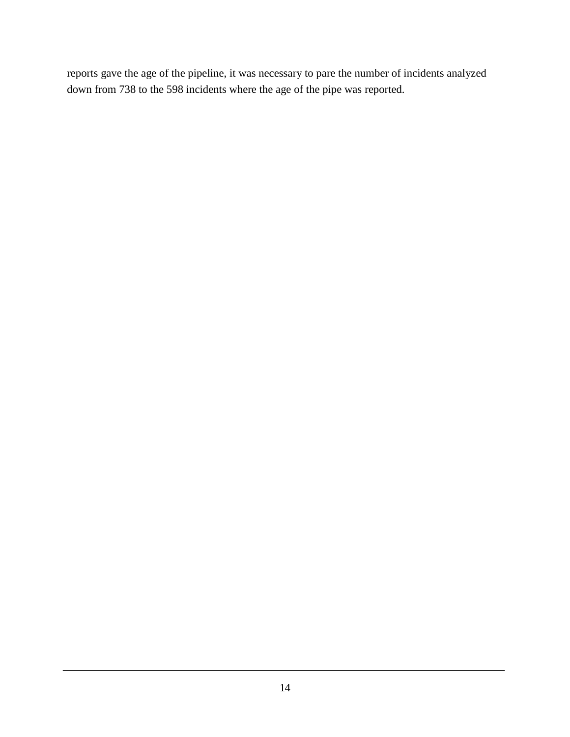reports gave the age of the pipeline, it was necessary to pare the number of incidents analyzed down from 738 to the 598 incidents where the age of the pipe was reported.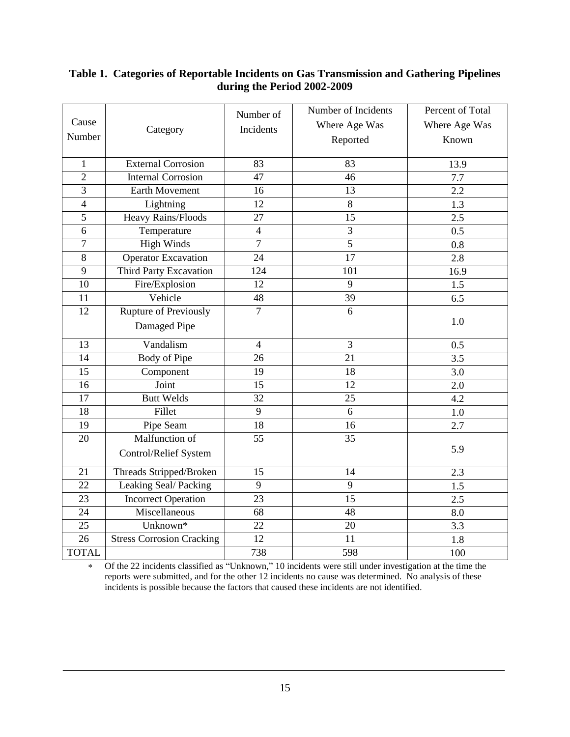#### <span id="page-18-0"></span>**Table 1. Categories of Reportable Incidents on Gas Transmission and Gathering Pipelines during the Period 2002-2009**

| Cause<br>Number | Category                         | Number of<br>Incidents | Number of Incidents<br>Where Age Was<br>Reported | Percent of Total<br>Where Age Was<br>Known |
|-----------------|----------------------------------|------------------------|--------------------------------------------------|--------------------------------------------|
| $\mathbf{1}$    | <b>External Corrosion</b>        | 83                     | 83                                               | 13.9                                       |
| $\overline{2}$  | <b>Internal Corrosion</b>        | 47                     | 46                                               | 7.7                                        |
| 3               | Earth Movement                   | 16                     | 13                                               | 2.2                                        |
| $\overline{4}$  | Lightning                        | $\overline{12}$        | 8                                                | 1.3                                        |
| 5               | Heavy Rains/Floods               | 27                     | 15                                               | 2.5                                        |
| 6               | Temperature                      | $\overline{4}$         | 3                                                | 0.5                                        |
| $\overline{7}$  | <b>High Winds</b>                | $\overline{7}$         | $\overline{5}$                                   | 0.8                                        |
| $\,8\,$         | <b>Operator Excavation</b>       | 24                     | 17                                               | 2.8                                        |
| 9               | Third Party Excavation           | 124                    | 101                                              | 16.9                                       |
| 10              | Fire/Explosion                   | 12                     | $\overline{9}$                                   | 1.5                                        |
| 11              | Vehicle                          | $\overline{48}$        | $\overline{39}$                                  | 6.5                                        |
| 12              | <b>Rupture of Previously</b>     | $\overline{7}$         | 6                                                |                                            |
|                 | Damaged Pipe                     |                        |                                                  | 1.0                                        |
| 13              | Vandalism                        | $\overline{4}$         | 3                                                | 0.5                                        |
| 14              | <b>Body of Pipe</b>              | 26                     | 21                                               | 3.5                                        |
| $\overline{15}$ | Component                        | 19                     | 18                                               | 3.0                                        |
| 16              | Joint                            | 15                     | 12                                               | 2.0                                        |
| 17              | <b>Butt Welds</b>                | 32                     | 25                                               | 4.2                                        |
| 18              | Fillet                           | 9                      | 6                                                | 1.0                                        |
| 19              | Pipe Seam                        | 18                     | 16                                               | 2.7                                        |
| 20              | Malfunction of                   | 55                     | 35                                               |                                            |
|                 | Control/Relief System            |                        |                                                  | 5.9                                        |
| 21              | Threads Stripped/Broken          | 15                     | 14                                               | 2.3                                        |
| 22              | Leaking Seal/Packing             | 9                      | 9                                                | 1.5                                        |
| 23              | <b>Incorrect Operation</b>       | 23                     | 15                                               | 2.5                                        |
| 24              | Miscellaneous                    | 68                     | 48                                               | 8.0                                        |
| 25              | Unknown*                         | 22                     | 20                                               | 3.3                                        |
| 26              | <b>Stress Corrosion Cracking</b> | $\overline{12}$        | 11                                               | 1.8                                        |
| <b>TOTAL</b>    |                                  | 738                    | 598                                              | 100                                        |

 Of the 22 incidents classified as "Unknown," 10 incidents were still under investigation at the time the reports were submitted, and for the other 12 incidents no cause was determined. No analysis of these incidents is possible because the factors that caused these incidents are not identified.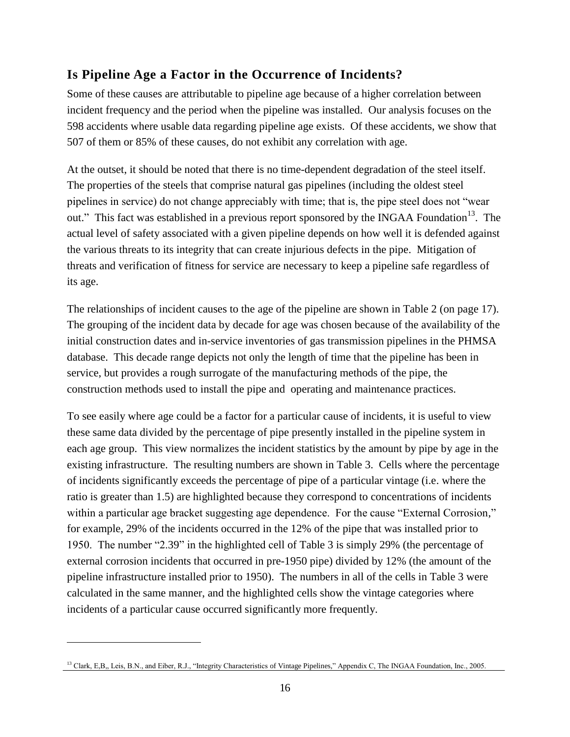#### <span id="page-19-0"></span>**Is Pipeline Age a Factor in the Occurrence of Incidents?**

Some of these causes are attributable to pipeline age because of a higher correlation between incident frequency and the period when the pipeline was installed. Our analysis focuses on the 598 accidents where usable data regarding pipeline age exists. Of these accidents, we show that 507 of them or 85% of these causes, do not exhibit any correlation with age.

At the outset, it should be noted that there is no time-dependent degradation of the steel itself. The properties of the steels that comprise natural gas pipelines (including the oldest steel pipelines in service) do not change appreciably with time; that is, the pipe steel does not "wear out." This fact was established in a previous report sponsored by the INGAA Foundation<sup>13</sup>. The actual level of safety associated with a given pipeline depends on how well it is defended against the various threats to its integrity that can create injurious defects in the pipe. Mitigation of threats and verification of fitness for service are necessary to keep a pipeline safe regardless of its age.

The relationships of incident causes to the age of the pipeline are shown in Table 2 (on page 17). The grouping of the incident data by decade for age was chosen because of the availability of the initial construction dates and in-service inventories of gas transmission pipelines in the PHMSA database. This decade range depicts not only the length of time that the pipeline has been in service, but provides a rough surrogate of the manufacturing methods of the pipe, the construction methods used to install the pipe and operating and maintenance practices.

To see easily where age could be a factor for a particular cause of incidents, it is useful to view these same data divided by the percentage of pipe presently installed in the pipeline system in each age group. This view normalizes the incident statistics by the amount by pipe by age in the existing infrastructure. The resulting numbers are shown in Table 3. Cells where the percentage of incidents significantly exceeds the percentage of pipe of a particular vintage (i.e. where the ratio is greater than 1.5) are highlighted because they correspond to concentrations of incidents within a particular age bracket suggesting age dependence. For the cause "External Corrosion," for example, 29% of the incidents occurred in the 12% of the pipe that was installed prior to 1950. The number "2.39" in the highlighted cell of Table 3 is simply 29% (the percentage of external corrosion incidents that occurred in pre-1950 pipe) divided by 12% (the amount of the pipeline infrastructure installed prior to 1950). The numbers in all of the cells in Table 3 were calculated in the same manner, and the highlighted cells show the vintage categories where incidents of a particular cause occurred significantly more frequently.

 $\overline{a}$ 

<sup>&</sup>lt;sup>13</sup> Clark, E,B,, Leis, B.N., and Eiber, R.J., "Integrity Characteristics of Vintage Pipelines," Appendix C, The INGAA Foundation, Inc., 2005.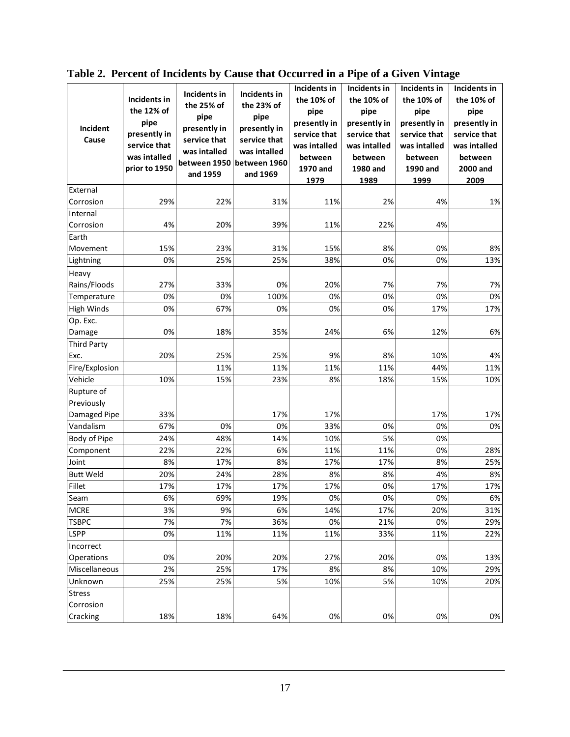| Incident<br>Cause                        | Incidents in<br>the 12% of<br>pipe<br>presently in<br>service that<br>was intalled<br>prior to 1950 | Incidents in<br>the 25% of<br>pipe<br>presently in<br>service that<br>was intalled<br>between 1950<br>and 1959 | Incidents in<br>the 23% of<br>pipe<br>presently in<br>service that<br>was intalled<br>between 1960<br>and 1969 | Incidents in<br>the 10% of<br>pipe<br>presently in<br>service that<br>was intalled<br>between<br>1970 and<br>1979 | Incidents in<br>the 10% of<br>pipe<br>presently in<br>service that<br>was intalled<br>between<br>1980 and<br>1989 | Incidents in<br>the 10% of<br>pipe<br>presently in<br>service that<br>was intalled<br>between<br>1990 and<br>1999 | Incidents in<br>the 10% of<br>pipe<br>presently in<br>service that<br>was intalled<br>between<br>2000 and<br>2009 |
|------------------------------------------|-----------------------------------------------------------------------------------------------------|----------------------------------------------------------------------------------------------------------------|----------------------------------------------------------------------------------------------------------------|-------------------------------------------------------------------------------------------------------------------|-------------------------------------------------------------------------------------------------------------------|-------------------------------------------------------------------------------------------------------------------|-------------------------------------------------------------------------------------------------------------------|
| External                                 |                                                                                                     |                                                                                                                |                                                                                                                |                                                                                                                   |                                                                                                                   |                                                                                                                   |                                                                                                                   |
| Corrosion                                | 29%                                                                                                 | 22%                                                                                                            | 31%                                                                                                            | 11%                                                                                                               | 2%                                                                                                                | 4%                                                                                                                | 1%                                                                                                                |
| Internal                                 |                                                                                                     |                                                                                                                |                                                                                                                |                                                                                                                   |                                                                                                                   |                                                                                                                   |                                                                                                                   |
| Corrosion                                | 4%                                                                                                  | 20%                                                                                                            | 39%                                                                                                            | 11%                                                                                                               | 22%                                                                                                               | 4%                                                                                                                |                                                                                                                   |
| Earth                                    |                                                                                                     |                                                                                                                |                                                                                                                |                                                                                                                   |                                                                                                                   |                                                                                                                   |                                                                                                                   |
| Movement                                 | 15%                                                                                                 | 23%                                                                                                            | 31%                                                                                                            | 15%                                                                                                               | 8%                                                                                                                | 0%                                                                                                                | 8%                                                                                                                |
| Lightning                                | 0%                                                                                                  | 25%                                                                                                            | 25%                                                                                                            | 38%                                                                                                               | 0%                                                                                                                | 0%                                                                                                                | 13%                                                                                                               |
| Heavy                                    |                                                                                                     |                                                                                                                |                                                                                                                |                                                                                                                   |                                                                                                                   |                                                                                                                   |                                                                                                                   |
| Rains/Floods                             | 27%                                                                                                 | 33%                                                                                                            | 0%                                                                                                             | 20%                                                                                                               | 7%                                                                                                                | 7%                                                                                                                | 7%                                                                                                                |
| Temperature                              | 0%                                                                                                  | 0%                                                                                                             | 100%                                                                                                           | 0%                                                                                                                | 0%                                                                                                                | 0%                                                                                                                | 0%                                                                                                                |
| <b>High Winds</b>                        | 0%                                                                                                  | 67%                                                                                                            | 0%                                                                                                             | 0%                                                                                                                | 0%                                                                                                                | 17%                                                                                                               | 17%                                                                                                               |
| Op. Exc.                                 |                                                                                                     |                                                                                                                |                                                                                                                |                                                                                                                   |                                                                                                                   |                                                                                                                   |                                                                                                                   |
| Damage                                   | 0%                                                                                                  | 18%                                                                                                            | 35%                                                                                                            | 24%                                                                                                               | 6%                                                                                                                | 12%                                                                                                               | 6%                                                                                                                |
| <b>Third Party</b>                       |                                                                                                     |                                                                                                                |                                                                                                                |                                                                                                                   |                                                                                                                   |                                                                                                                   |                                                                                                                   |
| Exc.                                     | 20%                                                                                                 | 25%                                                                                                            | 25%                                                                                                            | 9%                                                                                                                | 8%                                                                                                                | 10%                                                                                                               | 4%                                                                                                                |
| Fire/Explosion                           |                                                                                                     | 11%                                                                                                            | 11%                                                                                                            | 11%                                                                                                               | 11%                                                                                                               | 44%                                                                                                               | 11%                                                                                                               |
| Vehicle                                  | 10%                                                                                                 | 15%                                                                                                            | 23%                                                                                                            | 8%                                                                                                                | 18%                                                                                                               | 15%                                                                                                               | 10%                                                                                                               |
| Rupture of<br>Previously<br>Damaged Pipe | 33%                                                                                                 |                                                                                                                | 17%                                                                                                            | 17%                                                                                                               |                                                                                                                   | 17%                                                                                                               | 17%                                                                                                               |
| Vandalism                                | 67%                                                                                                 | 0%                                                                                                             | 0%                                                                                                             | 33%                                                                                                               | 0%                                                                                                                | 0%                                                                                                                | 0%                                                                                                                |
| Body of Pipe                             | 24%                                                                                                 | 48%                                                                                                            | 14%                                                                                                            | 10%                                                                                                               | 5%                                                                                                                | 0%                                                                                                                |                                                                                                                   |
| Component                                | 22%                                                                                                 | 22%                                                                                                            | 6%                                                                                                             | 11%                                                                                                               | 11%                                                                                                               | 0%                                                                                                                | 28%                                                                                                               |
| Joint                                    | 8%                                                                                                  | 17%                                                                                                            | 8%                                                                                                             | 17%                                                                                                               | 17%                                                                                                               | 8%                                                                                                                | 25%                                                                                                               |
| <b>Butt Weld</b>                         | 20%                                                                                                 | 24%                                                                                                            | 28%                                                                                                            | 8%                                                                                                                | 8%                                                                                                                | 4%                                                                                                                | 8%                                                                                                                |
| Fillet                                   | 17%                                                                                                 | 17%                                                                                                            | 17%                                                                                                            | 17%                                                                                                               | 0%                                                                                                                | 17%                                                                                                               | 17%                                                                                                               |
| Seam                                     | 6%                                                                                                  | 69%                                                                                                            | 19%                                                                                                            | 0%                                                                                                                | 0%                                                                                                                | 0%                                                                                                                | 6%                                                                                                                |
| <b>MCRE</b>                              | 3%                                                                                                  | 9%                                                                                                             | 6%                                                                                                             | 14%                                                                                                               | 17%                                                                                                               | 20%                                                                                                               | 31%                                                                                                               |
| <b>TSBPC</b>                             | 7%                                                                                                  | 7%                                                                                                             | 36%                                                                                                            | 0%                                                                                                                | 21%                                                                                                               | 0%                                                                                                                | 29%                                                                                                               |
| <b>LSPP</b>                              | 0%                                                                                                  | 11%                                                                                                            | 11%                                                                                                            | 11%                                                                                                               | 33%                                                                                                               | 11%                                                                                                               | 22%                                                                                                               |
| Incorrect                                |                                                                                                     |                                                                                                                |                                                                                                                |                                                                                                                   |                                                                                                                   |                                                                                                                   |                                                                                                                   |
| Operations                               | 0%                                                                                                  | 20%                                                                                                            | 20%                                                                                                            | 27%                                                                                                               | 20%                                                                                                               | 0%                                                                                                                | 13%                                                                                                               |
| Miscellaneous                            | 2%                                                                                                  | 25%                                                                                                            | 17%                                                                                                            | 8%                                                                                                                | 8%                                                                                                                | 10%                                                                                                               | 29%                                                                                                               |
| Unknown                                  | 25%                                                                                                 | 25%                                                                                                            | 5%                                                                                                             | 10%                                                                                                               | 5%                                                                                                                | 10%                                                                                                               | 20%                                                                                                               |
| <b>Stress</b>                            |                                                                                                     |                                                                                                                |                                                                                                                |                                                                                                                   |                                                                                                                   |                                                                                                                   |                                                                                                                   |
| Corrosion<br>Cracking                    | 18%                                                                                                 | 18%                                                                                                            | 64%                                                                                                            | 0%                                                                                                                | 0%                                                                                                                | 0%                                                                                                                | 0%                                                                                                                |
|                                          |                                                                                                     |                                                                                                                |                                                                                                                |                                                                                                                   |                                                                                                                   |                                                                                                                   |                                                                                                                   |

<span id="page-20-0"></span>**Table 2. Percent of Incidents by Cause that Occurred in a Pipe of a Given Vintage**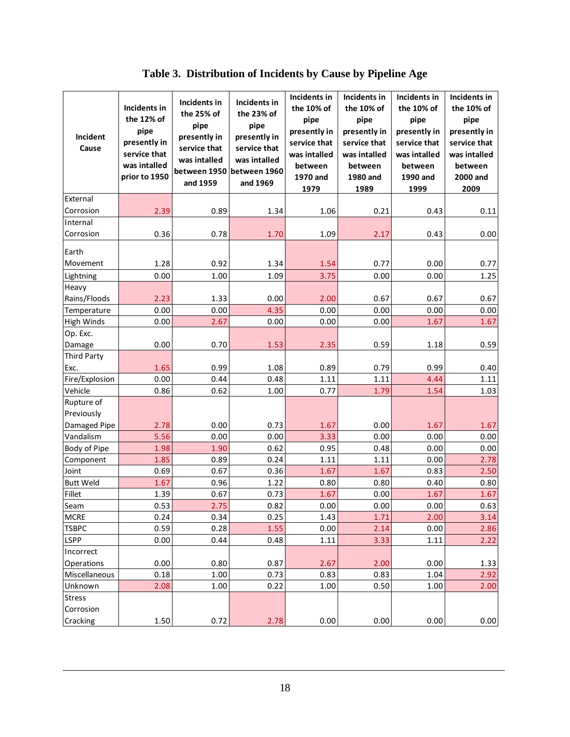**Table 3. Distribution of Incidents by Cause by Pipeline Age** 

<span id="page-21-0"></span>

| Incident<br>Cause        | Incidents in<br>the 12% of<br>pipe<br>presently in<br>service that<br>was intalled<br>prior to 1950 | Incidents in<br>the 25% of<br>pipe<br>presently in<br>service that<br>was intalled<br>between 1950<br>and 1959 | Incidents in<br>the 23% of<br>pipe<br>presently in<br>service that<br>was intalled<br>between 1960<br>and 1969 | Incidents in<br>the 10% of<br>pipe<br>presently in<br>service that<br>was intalled<br>between<br>1970 and<br>1979 | Incidents in<br>the 10% of<br>pipe<br>presently in<br>service that<br>was intalled<br>between<br>1980 and<br>1989 | Incidents in<br>the 10% of<br>pipe<br>presently in<br>service that<br>was intalled<br>between<br>1990 and<br>1999 | Incidents in<br>the 10% of<br>pipe<br>presently in<br>service that<br>was intalled<br>between<br>2000 and<br>2009 |
|--------------------------|-----------------------------------------------------------------------------------------------------|----------------------------------------------------------------------------------------------------------------|----------------------------------------------------------------------------------------------------------------|-------------------------------------------------------------------------------------------------------------------|-------------------------------------------------------------------------------------------------------------------|-------------------------------------------------------------------------------------------------------------------|-------------------------------------------------------------------------------------------------------------------|
| External                 |                                                                                                     |                                                                                                                |                                                                                                                |                                                                                                                   |                                                                                                                   |                                                                                                                   |                                                                                                                   |
| Corrosion                | 2.39                                                                                                | 0.89                                                                                                           | 1.34                                                                                                           | 1.06                                                                                                              | 0.21                                                                                                              | 0.43                                                                                                              | 0.11                                                                                                              |
| Internal                 |                                                                                                     |                                                                                                                |                                                                                                                |                                                                                                                   |                                                                                                                   |                                                                                                                   |                                                                                                                   |
| Corrosion                | 0.36                                                                                                | 0.78                                                                                                           | 1.70                                                                                                           | 1.09                                                                                                              | 2.17                                                                                                              | 0.43                                                                                                              | 0.00                                                                                                              |
|                          |                                                                                                     |                                                                                                                |                                                                                                                |                                                                                                                   |                                                                                                                   |                                                                                                                   |                                                                                                                   |
| Earth<br>Movement        |                                                                                                     |                                                                                                                |                                                                                                                |                                                                                                                   |                                                                                                                   |                                                                                                                   |                                                                                                                   |
|                          | 1.28                                                                                                | 0.92                                                                                                           | 1.34                                                                                                           | 1.54                                                                                                              | 0.77                                                                                                              | 0.00                                                                                                              | 0.77                                                                                                              |
| Lightning<br>Heavy       | 0.00                                                                                                | 1.00                                                                                                           | 1.09                                                                                                           | 3.75                                                                                                              | 0.00                                                                                                              | 0.00                                                                                                              | 1.25                                                                                                              |
| Rains/Floods             | 2.23                                                                                                | 1.33                                                                                                           | 0.00                                                                                                           | 2.00                                                                                                              | 0.67                                                                                                              | 0.67                                                                                                              | 0.67                                                                                                              |
| Temperature              | 0.00                                                                                                | 0.00                                                                                                           | 4.35                                                                                                           | 0.00                                                                                                              | 0.00                                                                                                              | 0.00                                                                                                              | 0.00                                                                                                              |
| <b>High Winds</b>        | 0.00                                                                                                | 2.67                                                                                                           | 0.00                                                                                                           | 0.00                                                                                                              | 0.00                                                                                                              | 1.67                                                                                                              | 1.67                                                                                                              |
| Op. Exc.                 |                                                                                                     |                                                                                                                |                                                                                                                |                                                                                                                   |                                                                                                                   |                                                                                                                   |                                                                                                                   |
| Damage                   | 0.00                                                                                                | 0.70                                                                                                           | 1.53                                                                                                           | 2.35                                                                                                              | 0.59                                                                                                              | 1.18                                                                                                              | 0.59                                                                                                              |
| <b>Third Party</b>       |                                                                                                     |                                                                                                                |                                                                                                                |                                                                                                                   |                                                                                                                   |                                                                                                                   |                                                                                                                   |
| Exc.                     | 1.65                                                                                                | 0.99                                                                                                           | 1.08                                                                                                           | 0.89                                                                                                              | 0.79                                                                                                              | 0.99                                                                                                              | 0.40                                                                                                              |
| Fire/Explosion           | 0.00                                                                                                | 0.44                                                                                                           | 0.48                                                                                                           | 1.11                                                                                                              | 1.11                                                                                                              | 4.44                                                                                                              | 1.11                                                                                                              |
| Vehicle                  | 0.86                                                                                                | 0.62                                                                                                           | 1.00                                                                                                           | 0.77                                                                                                              | 1.79                                                                                                              | 1.54                                                                                                              | 1.03                                                                                                              |
| Rupture of               |                                                                                                     |                                                                                                                |                                                                                                                |                                                                                                                   |                                                                                                                   |                                                                                                                   |                                                                                                                   |
| Previously               |                                                                                                     |                                                                                                                |                                                                                                                |                                                                                                                   |                                                                                                                   |                                                                                                                   |                                                                                                                   |
| Damaged Pipe             | 2.78                                                                                                | 0.00                                                                                                           | 0.73                                                                                                           | 1.67                                                                                                              | 0.00                                                                                                              | 1.67                                                                                                              | 1.67                                                                                                              |
| Vandalism                | 5.56                                                                                                | 0.00                                                                                                           | 0.00                                                                                                           | 3.33                                                                                                              | 0.00                                                                                                              | 0.00                                                                                                              | 0.00                                                                                                              |
| Body of Pipe             | 1.98                                                                                                | 1.90                                                                                                           | 0.62                                                                                                           | 0.95                                                                                                              | 0.48                                                                                                              | 0.00                                                                                                              | 0.00                                                                                                              |
| Component                | 1.85                                                                                                | 0.89                                                                                                           | 0.24                                                                                                           | 1.11                                                                                                              | 1.11                                                                                                              | 0.00                                                                                                              | 2.78                                                                                                              |
| Joint                    | 0.69                                                                                                | 0.67                                                                                                           | 0.36                                                                                                           | 1.67                                                                                                              | 1.67                                                                                                              | 0.83                                                                                                              | 2.50                                                                                                              |
| <b>Butt Weld</b>         | 1.67                                                                                                | 0.96                                                                                                           | 1.22                                                                                                           | 0.80                                                                                                              | 0.80                                                                                                              | 0.40                                                                                                              | 0.80                                                                                                              |
| Fillet                   | 1.39                                                                                                | 0.67                                                                                                           | 0.73                                                                                                           | 1.67                                                                                                              | 0.00                                                                                                              | 1.67                                                                                                              | 1.67                                                                                                              |
| Seam                     | 0.53                                                                                                | 2.75                                                                                                           | 0.82                                                                                                           | 0.00                                                                                                              | 0.00                                                                                                              | 0.00                                                                                                              | 0.63                                                                                                              |
| <b>MCRE</b>              | 0.24                                                                                                | 0.34                                                                                                           | 0.25                                                                                                           | 1.43                                                                                                              | 1.71                                                                                                              | 2.00                                                                                                              | 3.14                                                                                                              |
| <b>TSBPC</b>             | 0.59                                                                                                | 0.28                                                                                                           | 1.55                                                                                                           | 0.00                                                                                                              | 2.14                                                                                                              | 0.00                                                                                                              | 2.86                                                                                                              |
| <b>LSPP</b>              | 0.00                                                                                                | 0.44                                                                                                           | 0.48                                                                                                           | 1.11                                                                                                              | 3.33                                                                                                              | 1.11                                                                                                              | 2.22                                                                                                              |
| Incorrect                |                                                                                                     |                                                                                                                |                                                                                                                |                                                                                                                   |                                                                                                                   |                                                                                                                   |                                                                                                                   |
| Operations               | 0.00                                                                                                | 0.80                                                                                                           | 0.87                                                                                                           | 2.67                                                                                                              | 2.00                                                                                                              | 0.00                                                                                                              | 1.33                                                                                                              |
| Miscellaneous            | 0.18                                                                                                | 1.00                                                                                                           | 0.73                                                                                                           | 0.83                                                                                                              | 0.83                                                                                                              | 1.04                                                                                                              | 2.92                                                                                                              |
| Unknown<br><b>Stress</b> | 2.08                                                                                                | 1.00                                                                                                           | 0.22                                                                                                           | 1.00                                                                                                              | 0.50                                                                                                              | 1.00                                                                                                              | 2.00                                                                                                              |
| Corrosion                |                                                                                                     |                                                                                                                |                                                                                                                |                                                                                                                   |                                                                                                                   |                                                                                                                   |                                                                                                                   |
| Cracking                 | 1.50                                                                                                | 0.72                                                                                                           | 2.78                                                                                                           | 0.00                                                                                                              | 0.00                                                                                                              | 0.00                                                                                                              | 0.00                                                                                                              |
|                          |                                                                                                     |                                                                                                                |                                                                                                                |                                                                                                                   |                                                                                                                   |                                                                                                                   |                                                                                                                   |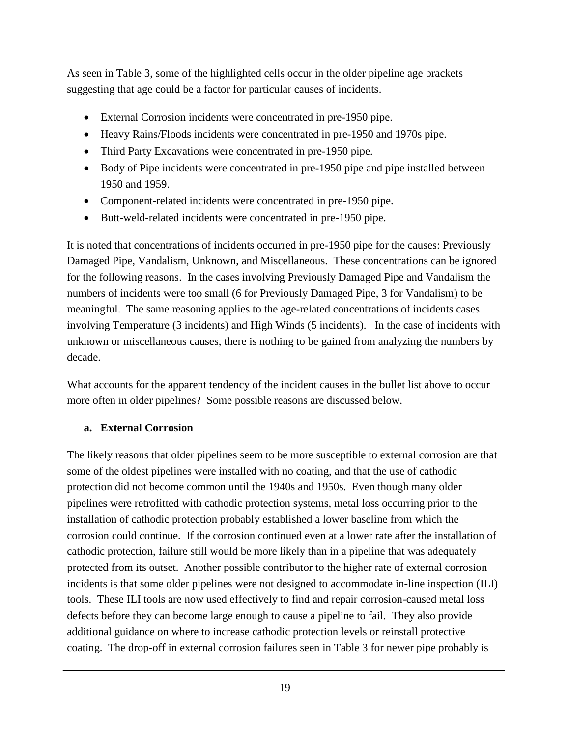As seen in Table 3, some of the highlighted cells occur in the older pipeline age brackets suggesting that age could be a factor for particular causes of incidents.

- External Corrosion incidents were concentrated in pre-1950 pipe.
- Heavy Rains/Floods incidents were concentrated in pre-1950 and 1970s pipe.
- Third Party Excavations were concentrated in pre-1950 pipe.
- Body of Pipe incidents were concentrated in pre-1950 pipe and pipe installed between 1950 and 1959.
- Component-related incidents were concentrated in pre-1950 pipe.
- Butt-weld-related incidents were concentrated in pre-1950 pipe.

It is noted that concentrations of incidents occurred in pre-1950 pipe for the causes: Previously Damaged Pipe, Vandalism, Unknown, and Miscellaneous. These concentrations can be ignored for the following reasons. In the cases involving Previously Damaged Pipe and Vandalism the numbers of incidents were too small (6 for Previously Damaged Pipe, 3 for Vandalism) to be meaningful. The same reasoning applies to the age-related concentrations of incidents cases involving Temperature (3 incidents) and High Winds (5 incidents). In the case of incidents with unknown or miscellaneous causes, there is nothing to be gained from analyzing the numbers by decade.

What accounts for the apparent tendency of the incident causes in the bullet list above to occur more often in older pipelines? Some possible reasons are discussed below.

#### **a. External Corrosion**

The likely reasons that older pipelines seem to be more susceptible to external corrosion are that some of the oldest pipelines were installed with no coating, and that the use of cathodic protection did not become common until the 1940s and 1950s. Even though many older pipelines were retrofitted with cathodic protection systems, metal loss occurring prior to the installation of cathodic protection probably established a lower baseline from which the corrosion could continue. If the corrosion continued even at a lower rate after the installation of cathodic protection, failure still would be more likely than in a pipeline that was adequately protected from its outset. Another possible contributor to the higher rate of external corrosion incidents is that some older pipelines were not designed to accommodate in-line inspection (ILI) tools. These ILI tools are now used effectively to find and repair corrosion-caused metal loss defects before they can become large enough to cause a pipeline to fail. They also provide additional guidance on where to increase cathodic protection levels or reinstall protective coating. The drop-off in external corrosion failures seen in Table 3 for newer pipe probably is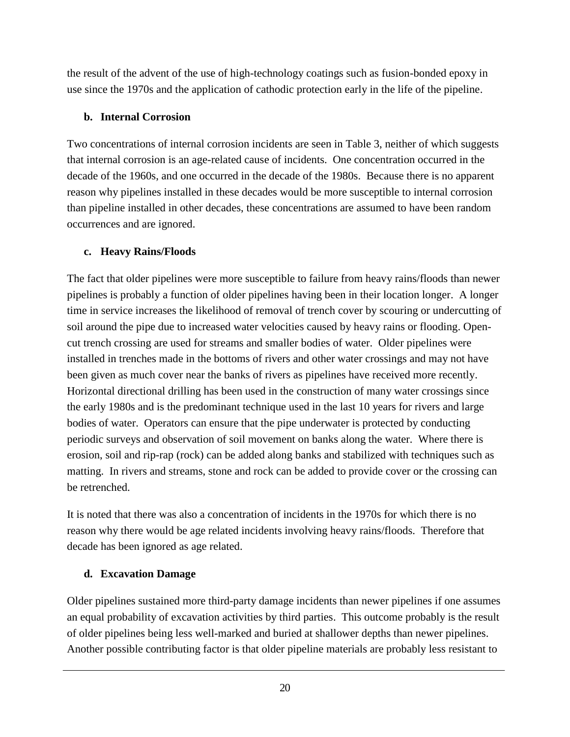the result of the advent of the use of high-technology coatings such as fusion-bonded epoxy in use since the 1970s and the application of cathodic protection early in the life of the pipeline.

#### **b. Internal Corrosion**

Two concentrations of internal corrosion incidents are seen in Table 3, neither of which suggests that internal corrosion is an age-related cause of incidents. One concentration occurred in the decade of the 1960s, and one occurred in the decade of the 1980s. Because there is no apparent reason why pipelines installed in these decades would be more susceptible to internal corrosion than pipeline installed in other decades, these concentrations are assumed to have been random occurrences and are ignored.

#### **c. Heavy Rains/Floods**

The fact that older pipelines were more susceptible to failure from heavy rains/floods than newer pipelines is probably a function of older pipelines having been in their location longer. A longer time in service increases the likelihood of removal of trench cover by scouring or undercutting of soil around the pipe due to increased water velocities caused by heavy rains or flooding. Opencut trench crossing are used for streams and smaller bodies of water. Older pipelines were installed in trenches made in the bottoms of rivers and other water crossings and may not have been given as much cover near the banks of rivers as pipelines have received more recently. Horizontal directional drilling has been used in the construction of many water crossings since the early 1980s and is the predominant technique used in the last 10 years for rivers and large bodies of water. Operators can ensure that the pipe underwater is protected by conducting periodic surveys and observation of soil movement on banks along the water. Where there is erosion, soil and rip-rap (rock) can be added along banks and stabilized with techniques such as matting. In rivers and streams, stone and rock can be added to provide cover or the crossing can be retrenched.

It is noted that there was also a concentration of incidents in the 1970s for which there is no reason why there would be age related incidents involving heavy rains/floods. Therefore that decade has been ignored as age related.

#### **d. Excavation Damage**

Older pipelines sustained more third-party damage incidents than newer pipelines if one assumes an equal probability of excavation activities by third parties. This outcome probably is the result of older pipelines being less well-marked and buried at shallower depths than newer pipelines. Another possible contributing factor is that older pipeline materials are probably less resistant to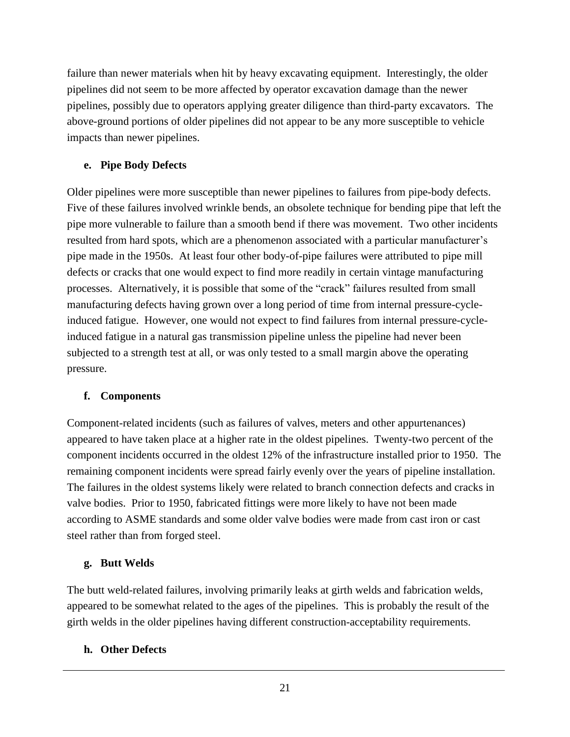failure than newer materials when hit by heavy excavating equipment. Interestingly, the older pipelines did not seem to be more affected by operator excavation damage than the newer pipelines, possibly due to operators applying greater diligence than third-party excavators. The above-ground portions of older pipelines did not appear to be any more susceptible to vehicle impacts than newer pipelines.

#### **e. Pipe Body Defects**

Older pipelines were more susceptible than newer pipelines to failures from pipe-body defects. Five of these failures involved wrinkle bends, an obsolete technique for bending pipe that left the pipe more vulnerable to failure than a smooth bend if there was movement. Two other incidents resulted from hard spots, which are a phenomenon associated with a particular manufacturer's pipe made in the 1950s. At least four other body-of-pipe failures were attributed to pipe mill defects or cracks that one would expect to find more readily in certain vintage manufacturing processes. Alternatively, it is possible that some of the "crack" failures resulted from small manufacturing defects having grown over a long period of time from internal pressure-cycleinduced fatigue. However, one would not expect to find failures from internal pressure-cycleinduced fatigue in a natural gas transmission pipeline unless the pipeline had never been subjected to a strength test at all, or was only tested to a small margin above the operating pressure.

#### **f. Components**

Component-related incidents (such as failures of valves, meters and other appurtenances) appeared to have taken place at a higher rate in the oldest pipelines. Twenty-two percent of the component incidents occurred in the oldest 12% of the infrastructure installed prior to 1950. The remaining component incidents were spread fairly evenly over the years of pipeline installation. The failures in the oldest systems likely were related to branch connection defects and cracks in valve bodies. Prior to 1950, fabricated fittings were more likely to have not been made according to ASME standards and some older valve bodies were made from cast iron or cast steel rather than from forged steel.

#### **g. Butt Welds**

The butt weld-related failures, involving primarily leaks at girth welds and fabrication welds, appeared to be somewhat related to the ages of the pipelines. This is probably the result of the girth welds in the older pipelines having different construction-acceptability requirements.

#### **h. Other Defects**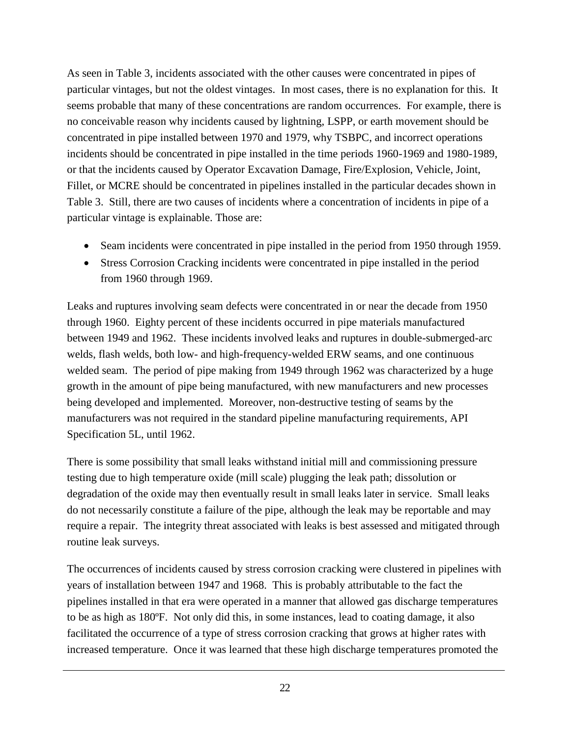As seen in Table 3, incidents associated with the other causes were concentrated in pipes of particular vintages, but not the oldest vintages. In most cases, there is no explanation for this. It seems probable that many of these concentrations are random occurrences. For example, there is no conceivable reason why incidents caused by lightning, LSPP, or earth movement should be concentrated in pipe installed between 1970 and 1979, why TSBPC, and incorrect operations incidents should be concentrated in pipe installed in the time periods 1960-1969 and 1980-1989, or that the incidents caused by Operator Excavation Damage, Fire/Explosion, Vehicle, Joint, Fillet, or MCRE should be concentrated in pipelines installed in the particular decades shown in Table 3. Still, there are two causes of incidents where a concentration of incidents in pipe of a particular vintage is explainable. Those are:

- Seam incidents were concentrated in pipe installed in the period from 1950 through 1959.
- Stress Corrosion Cracking incidents were concentrated in pipe installed in the period from 1960 through 1969.

Leaks and ruptures involving seam defects were concentrated in or near the decade from 1950 through 1960. Eighty percent of these incidents occurred in pipe materials manufactured between 1949 and 1962. These incidents involved leaks and ruptures in double-submerged-arc welds, flash welds, both low- and high-frequency-welded ERW seams, and one continuous welded seam. The period of pipe making from 1949 through 1962 was characterized by a huge growth in the amount of pipe being manufactured, with new manufacturers and new processes being developed and implemented. Moreover, non-destructive testing of seams by the manufacturers was not required in the standard pipeline manufacturing requirements, API Specification 5L, until 1962.

There is some possibility that small leaks withstand initial mill and commissioning pressure testing due to high temperature oxide (mill scale) plugging the leak path; dissolution or degradation of the oxide may then eventually result in small leaks later in service. Small leaks do not necessarily constitute a failure of the pipe, although the leak may be reportable and may require a repair. The integrity threat associated with leaks is best assessed and mitigated through routine leak surveys.

The occurrences of incidents caused by stress corrosion cracking were clustered in pipelines with years of installation between 1947 and 1968. This is probably attributable to the fact the pipelines installed in that era were operated in a manner that allowed gas discharge temperatures to be as high as 180ºF. Not only did this, in some instances, lead to coating damage, it also facilitated the occurrence of a type of stress corrosion cracking that grows at higher rates with increased temperature. Once it was learned that these high discharge temperatures promoted the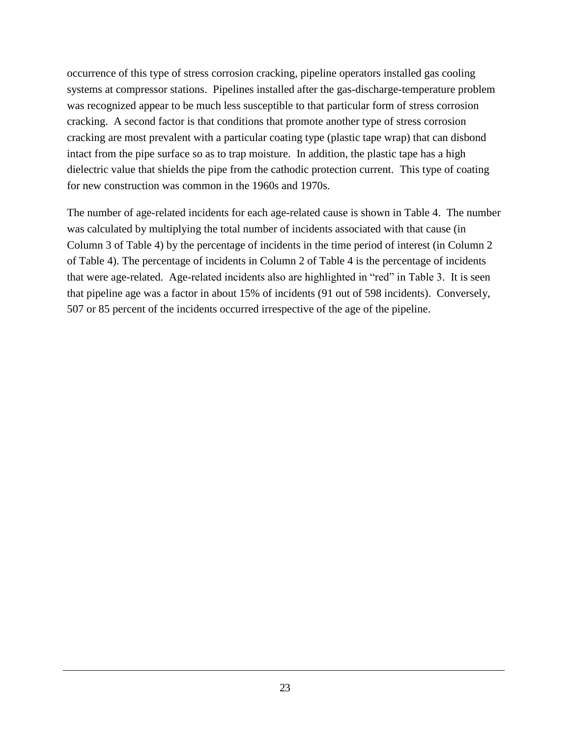occurrence of this type of stress corrosion cracking, pipeline operators installed gas cooling systems at compressor stations. Pipelines installed after the gas-discharge-temperature problem was recognized appear to be much less susceptible to that particular form of stress corrosion cracking. A second factor is that conditions that promote another type of stress corrosion cracking are most prevalent with a particular coating type (plastic tape wrap) that can disbond intact from the pipe surface so as to trap moisture. In addition, the plastic tape has a high dielectric value that shields the pipe from the cathodic protection current. This type of coating for new construction was common in the 1960s and 1970s.

The number of age-related incidents for each age-related cause is shown in Table 4. The number was calculated by multiplying the total number of incidents associated with that cause (in Column 3 of Table 4) by the percentage of incidents in the time period of interest (in Column 2 of Table 4). The percentage of incidents in Column 2 of Table 4 is the percentage of incidents that were age-related. Age-related incidents also are highlighted in "red" in Table 3. It is seen that pipeline age was a factor in about 15% of incidents (91 out of 598 incidents). Conversely, 507 or 85 percent of the incidents occurred irrespective of the age of the pipeline.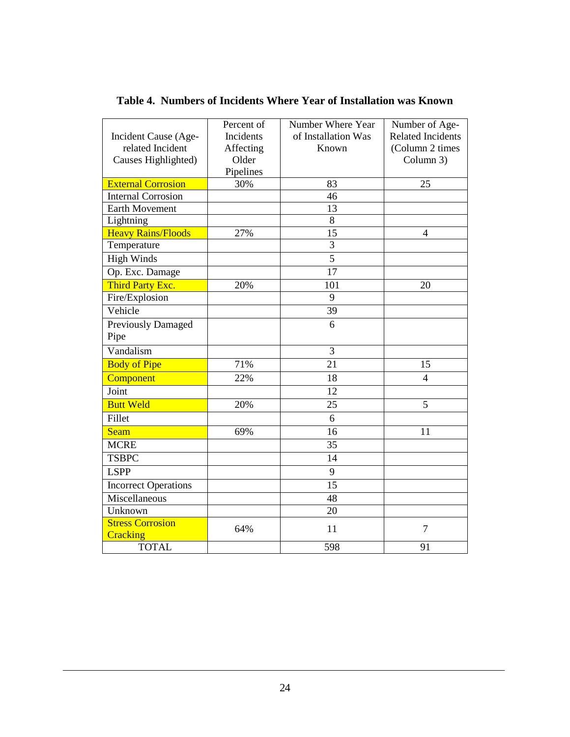|  |  |  |  |  | Table 4. Numbers of Incidents Where Year of Installation was Known |  |
|--|--|--|--|--|--------------------------------------------------------------------|--|
|--|--|--|--|--|--------------------------------------------------------------------|--|

<span id="page-27-0"></span>

|                             | Percent of | Number Where Year   | Number of Age-           |
|-----------------------------|------------|---------------------|--------------------------|
| Incident Cause (Age-        | Incidents  | of Installation Was | <b>Related Incidents</b> |
| related Incident            | Affecting  | Known               | (Column 2 times          |
| Causes Highlighted)         | Older      |                     | Column 3)                |
|                             | Pipelines  |                     |                          |
| <b>External Corrosion</b>   | 30%        | 83                  | 25                       |
| <b>Internal Corrosion</b>   |            | 46                  |                          |
| Earth Movement              |            | 13                  |                          |
| Lightning                   |            | $\overline{8}$      |                          |
| <b>Heavy Rains/Floods</b>   | 27%        | 15                  | $\overline{4}$           |
| Temperature                 |            | $\overline{3}$      |                          |
| <b>High Winds</b>           |            | $\overline{5}$      |                          |
| Op. Exc. Damage             |            | 17                  |                          |
| Third Party Exc.            | 20%        | 101                 | 20                       |
| Fire/Explosion              |            | 9                   |                          |
| Vehicle                     |            | 39                  |                          |
| <b>Previously Damaged</b>   |            | 6                   |                          |
| Pipe                        |            |                     |                          |
| Vandalism                   |            | 3                   |                          |
| <b>Body of Pipe</b>         | 71%        | 21                  | 15                       |
| Component                   | 22%        | 18                  | $\overline{4}$           |
| Joint                       |            | 12                  |                          |
| <b>Butt Weld</b>            | 20%        | 25                  | 5                        |
| Fillet                      |            | 6                   |                          |
| Seam                        | 69%        | 16                  | 11                       |
| <b>MCRE</b>                 |            | 35                  |                          |
| <b>TSBPC</b>                |            | $\overline{14}$     |                          |
| <b>LSPP</b>                 |            | $\overline{9}$      |                          |
| <b>Incorrect Operations</b> |            | $\overline{15}$     |                          |
| Miscellaneous               |            | 48                  |                          |
| Unknown                     |            | 20                  |                          |
| <b>Stress Corrosion</b>     | 64%        | 11                  | $\overline{7}$           |
| Cracking                    |            |                     |                          |
| <b>TOTAL</b>                |            | 598                 | 91                       |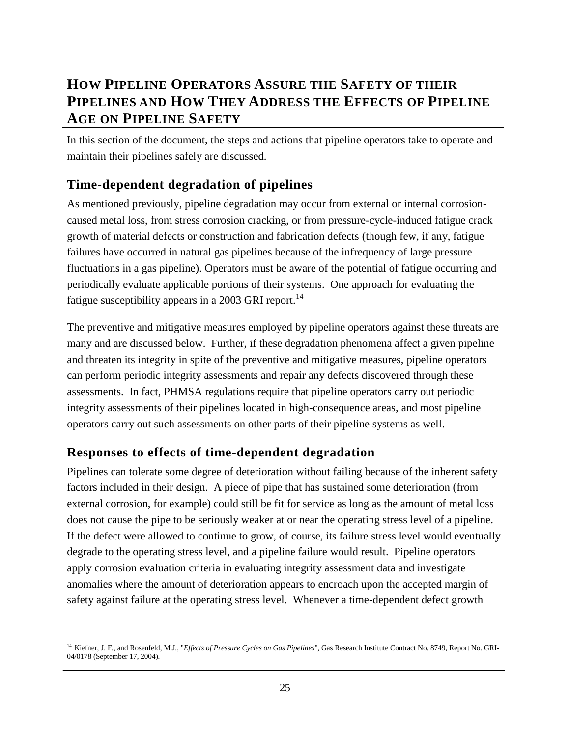## <span id="page-28-0"></span>**HOW PIPELINE OPERATORS ASSURE THE SAFETY OF THEIR PIPELINES AND HOW THEY ADDRESS THE EFFECTS OF PIPELINE AGE ON PIPELINE SAFETY**

In this section of the document, the steps and actions that pipeline operators take to operate and maintain their pipelines safely are discussed.

### <span id="page-28-1"></span>**Time-dependent degradation of pipelines**

As mentioned previously, pipeline degradation may occur from external or internal corrosioncaused metal loss, from stress corrosion cracking, or from pressure-cycle-induced fatigue crack growth of material defects or construction and fabrication defects (though few, if any, fatigue failures have occurred in natural gas pipelines because of the infrequency of large pressure fluctuations in a gas pipeline). Operators must be aware of the potential of fatigue occurring and periodically evaluate applicable portions of their systems. One approach for evaluating the fatigue susceptibility appears in a 2003 GRI report.<sup>14</sup>

The preventive and mitigative measures employed by pipeline operators against these threats are many and are discussed below. Further, if these degradation phenomena affect a given pipeline and threaten its integrity in spite of the preventive and mitigative measures, pipeline operators can perform periodic integrity assessments and repair any defects discovered through these assessments. In fact, PHMSA regulations require that pipeline operators carry out periodic integrity assessments of their pipelines located in high-consequence areas, and most pipeline operators carry out such assessments on other parts of their pipeline systems as well.

## <span id="page-28-2"></span>**Responses to effects of time-dependent degradation**

 $\overline{a}$ 

Pipelines can tolerate some degree of deterioration without failing because of the inherent safety factors included in their design. A piece of pipe that has sustained some deterioration (from external corrosion, for example) could still be fit for service as long as the amount of metal loss does not cause the pipe to be seriously weaker at or near the operating stress level of a pipeline. If the defect were allowed to continue to grow, of course, its failure stress level would eventually degrade to the operating stress level, and a pipeline failure would result. Pipeline operators apply corrosion evaluation criteria in evaluating integrity assessment data and investigate anomalies where the amount of deterioration appears to encroach upon the accepted margin of safety against failure at the operating stress level. Whenever a time-dependent defect growth

<sup>14</sup> Kiefner, J. F., and Rosenfeld, M.J., "*Effects of Pressure Cycles on Gas Pipelines*", Gas Research Institute Contract No. 8749, Report No. GRI-04/0178 (September 17, 2004).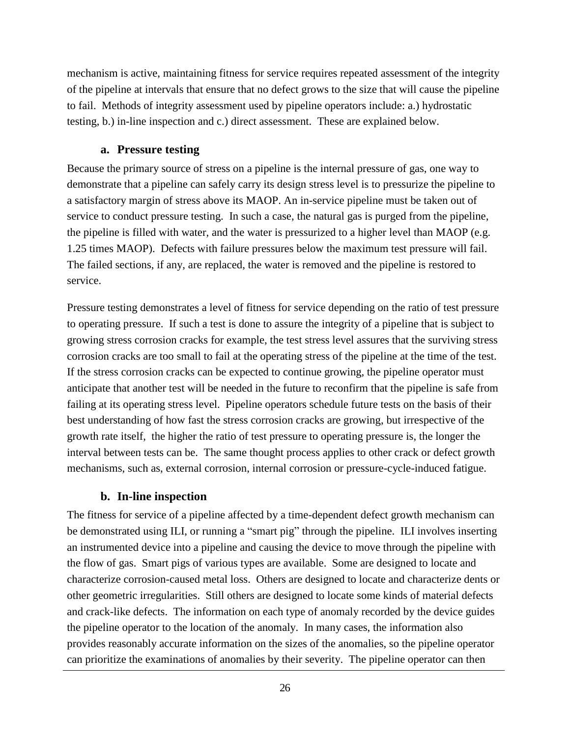mechanism is active, maintaining fitness for service requires repeated assessment of the integrity of the pipeline at intervals that ensure that no defect grows to the size that will cause the pipeline to fail. Methods of integrity assessment used by pipeline operators include: a.) hydrostatic testing, b.) in-line inspection and c.) direct assessment. These are explained below.

#### **a. Pressure testing**

Because the primary source of stress on a pipeline is the internal pressure of gas, one way to demonstrate that a pipeline can safely carry its design stress level is to pressurize the pipeline to a satisfactory margin of stress above its MAOP. An in-service pipeline must be taken out of service to conduct pressure testing. In such a case, the natural gas is purged from the pipeline, the pipeline is filled with water, and the water is pressurized to a higher level than MAOP (e.g. 1.25 times MAOP). Defects with failure pressures below the maximum test pressure will fail. The failed sections, if any, are replaced, the water is removed and the pipeline is restored to service.

Pressure testing demonstrates a level of fitness for service depending on the ratio of test pressure to operating pressure. If such a test is done to assure the integrity of a pipeline that is subject to growing stress corrosion cracks for example, the test stress level assures that the surviving stress corrosion cracks are too small to fail at the operating stress of the pipeline at the time of the test. If the stress corrosion cracks can be expected to continue growing, the pipeline operator must anticipate that another test will be needed in the future to reconfirm that the pipeline is safe from failing at its operating stress level. Pipeline operators schedule future tests on the basis of their best understanding of how fast the stress corrosion cracks are growing, but irrespective of the growth rate itself, the higher the ratio of test pressure to operating pressure is, the longer the interval between tests can be. The same thought process applies to other crack or defect growth mechanisms, such as, external corrosion, internal corrosion or pressure-cycle-induced fatigue.

#### **b. In-line inspection**

The fitness for service of a pipeline affected by a time-dependent defect growth mechanism can be demonstrated using ILI, or running a "smart pig" through the pipeline. ILI involves inserting an instrumented device into a pipeline and causing the device to move through the pipeline with the flow of gas. Smart pigs of various types are available. Some are designed to locate and characterize corrosion-caused metal loss. Others are designed to locate and characterize dents or other geometric irregularities. Still others are designed to locate some kinds of material defects and crack-like defects. The information on each type of anomaly recorded by the device guides the pipeline operator to the location of the anomaly. In many cases, the information also provides reasonably accurate information on the sizes of the anomalies, so the pipeline operator can prioritize the examinations of anomalies by their severity. The pipeline operator can then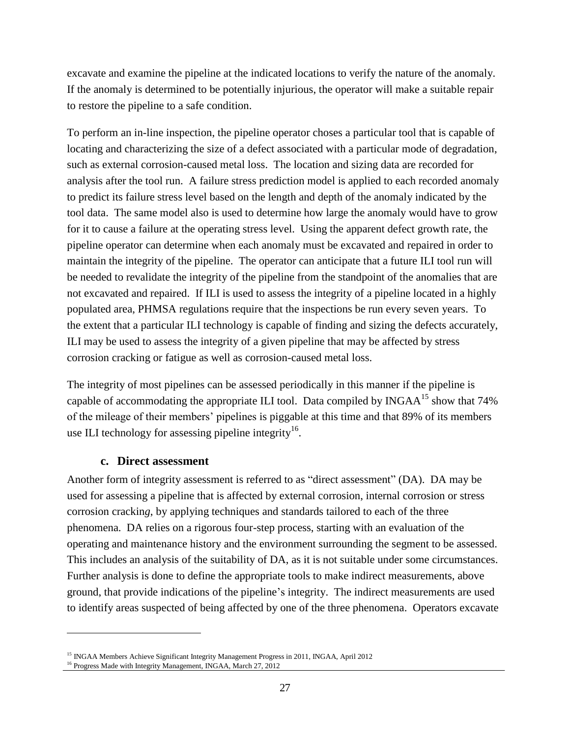excavate and examine the pipeline at the indicated locations to verify the nature of the anomaly. If the anomaly is determined to be potentially injurious, the operator will make a suitable repair to restore the pipeline to a safe condition.

To perform an in-line inspection, the pipeline operator choses a particular tool that is capable of locating and characterizing the size of a defect associated with a particular mode of degradation, such as external corrosion-caused metal loss. The location and sizing data are recorded for analysis after the tool run. A failure stress prediction model is applied to each recorded anomaly to predict its failure stress level based on the length and depth of the anomaly indicated by the tool data. The same model also is used to determine how large the anomaly would have to grow for it to cause a failure at the operating stress level. Using the apparent defect growth rate, the pipeline operator can determine when each anomaly must be excavated and repaired in order to maintain the integrity of the pipeline. The operator can anticipate that a future ILI tool run will be needed to revalidate the integrity of the pipeline from the standpoint of the anomalies that are not excavated and repaired. If ILI is used to assess the integrity of a pipeline located in a highly populated area, PHMSA regulations require that the inspections be run every seven years. To the extent that a particular ILI technology is capable of finding and sizing the defects accurately, ILI may be used to assess the integrity of a given pipeline that may be affected by stress corrosion cracking or fatigue as well as corrosion-caused metal loss.

The integrity of most pipelines can be assessed periodically in this manner if the pipeline is capable of accommodating the appropriate ILI tool. Data compiled by INGA $A^{15}$  show that 74% of the mileage of their members' pipelines is piggable at this time and that 89% of its members use ILI technology for assessing pipeline integrity<sup>16</sup>.

#### **c. Direct assessment**

Another form of integrity assessment is referred to as "direct assessment" (DA). DA may be used for assessing a pipeline that is affected by external corrosion, internal corrosion or stress corrosion crackin*g*, by applying techniques and standards tailored to each of the three phenomena. DA relies on a rigorous four-step process, starting with an evaluation of the operating and maintenance history and the environment surrounding the segment to be assessed. This includes an analysis of the suitability of DA, as it is not suitable under some circumstances. Further analysis is done to define the appropriate tools to make indirect measurements, above ground, that provide indications of the pipeline's integrity. The indirect measurements are used to identify areas suspected of being affected by one of the three phenomena. Operators excavate

 $\overline{a}$ 

<sup>&</sup>lt;sup>15</sup> INGAA Members Achieve Significant Integrity Management Progress in 2011, INGAA, April 2012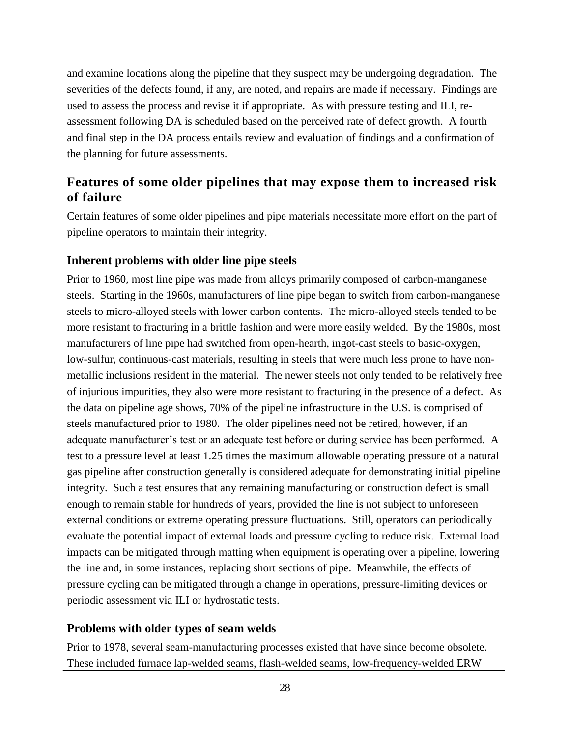and examine locations along the pipeline that they suspect may be undergoing degradation. The severities of the defects found, if any, are noted, and repairs are made if necessary. Findings are used to assess the process and revise it if appropriate. As with pressure testing and ILI, reassessment following DA is scheduled based on the perceived rate of defect growth. A fourth and final step in the DA process entails review and evaluation of findings and a confirmation of the planning for future assessments.

### <span id="page-31-0"></span>**Features of some older pipelines that may expose them to increased risk of failure**

Certain features of some older pipelines and pipe materials necessitate more effort on the part of pipeline operators to maintain their integrity.

#### <span id="page-31-1"></span>**Inherent problems with older line pipe steels**

Prior to 1960, most line pipe was made from alloys primarily composed of carbon-manganese steels. Starting in the 1960s, manufacturers of line pipe began to switch from carbon-manganese steels to micro-alloyed steels with lower carbon contents. The micro-alloyed steels tended to be more resistant to fracturing in a brittle fashion and were more easily welded. By the 1980s, most manufacturers of line pipe had switched from open-hearth, ingot-cast steels to basic-oxygen, low-sulfur, continuous-cast materials, resulting in steels that were much less prone to have nonmetallic inclusions resident in the material. The newer steels not only tended to be relatively free of injurious impurities, they also were more resistant to fracturing in the presence of a defect. As the data on pipeline age shows, 70% of the pipeline infrastructure in the U.S. is comprised of steels manufactured prior to 1980. The older pipelines need not be retired, however, if an adequate manufacturer's test or an adequate test before or during service has been performed. A test to a pressure level at least 1.25 times the maximum allowable operating pressure of a natural gas pipeline after construction generally is considered adequate for demonstrating initial pipeline integrity. Such a test ensures that any remaining manufacturing or construction defect is small enough to remain stable for hundreds of years, provided the line is not subject to unforeseen external conditions or extreme operating pressure fluctuations. Still, operators can periodically evaluate the potential impact of external loads and pressure cycling to reduce risk. External load impacts can be mitigated through matting when equipment is operating over a pipeline, lowering the line and, in some instances, replacing short sections of pipe. Meanwhile, the effects of pressure cycling can be mitigated through a change in operations, pressure-limiting devices or periodic assessment via ILI or hydrostatic tests.

#### <span id="page-31-2"></span>**Problems with older types of seam welds**

Prior to 1978, several seam-manufacturing processes existed that have since become obsolete. These included furnace lap-welded seams, flash-welded seams, low-frequency-welded ERW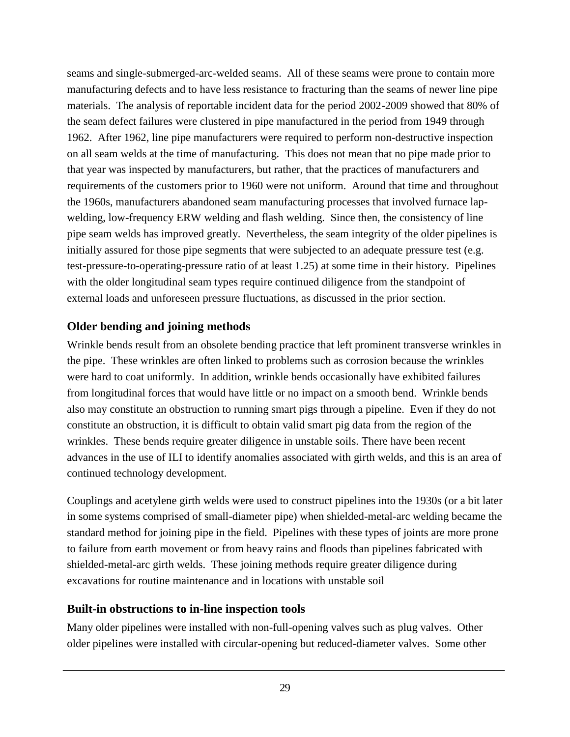seams and single-submerged-arc-welded seams. All of these seams were prone to contain more manufacturing defects and to have less resistance to fracturing than the seams of newer line pipe materials. The analysis of reportable incident data for the period 2002-2009 showed that 80% of the seam defect failures were clustered in pipe manufactured in the period from 1949 through 1962. After 1962, line pipe manufacturers were required to perform non-destructive inspection on all seam welds at the time of manufacturing. This does not mean that no pipe made prior to that year was inspected by manufacturers, but rather, that the practices of manufacturers and requirements of the customers prior to 1960 were not uniform. Around that time and throughout the 1960s, manufacturers abandoned seam manufacturing processes that involved furnace lapwelding, low-frequency ERW welding and flash welding. Since then, the consistency of line pipe seam welds has improved greatly. Nevertheless, the seam integrity of the older pipelines is initially assured for those pipe segments that were subjected to an adequate pressure test (e.g. test-pressure-to-operating-pressure ratio of at least 1.25) at some time in their history. Pipelines with the older longitudinal seam types require continued diligence from the standpoint of external loads and unforeseen pressure fluctuations, as discussed in the prior section.

#### <span id="page-32-0"></span>**Older bending and joining methods**

Wrinkle bends result from an obsolete bending practice that left prominent transverse wrinkles in the pipe. These wrinkles are often linked to problems such as corrosion because the wrinkles were hard to coat uniformly. In addition, wrinkle bends occasionally have exhibited failures from longitudinal forces that would have little or no impact on a smooth bend. Wrinkle bends also may constitute an obstruction to running smart pigs through a pipeline. Even if they do not constitute an obstruction, it is difficult to obtain valid smart pig data from the region of the wrinkles. These bends require greater diligence in unstable soils. There have been recent advances in the use of ILI to identify anomalies associated with girth welds, and this is an area of continued technology development.

Couplings and acetylene girth welds were used to construct pipelines into the 1930s (or a bit later in some systems comprised of small-diameter pipe) when shielded-metal-arc welding became the standard method for joining pipe in the field. Pipelines with these types of joints are more prone to failure from earth movement or from heavy rains and floods than pipelines fabricated with shielded-metal-arc girth welds. These joining methods require greater diligence during excavations for routine maintenance and in locations with unstable soil

#### <span id="page-32-1"></span>**Built-in obstructions to in-line inspection tools**

Many older pipelines were installed with non-full-opening valves such as plug valves. Other older pipelines were installed with circular-opening but reduced-diameter valves. Some other